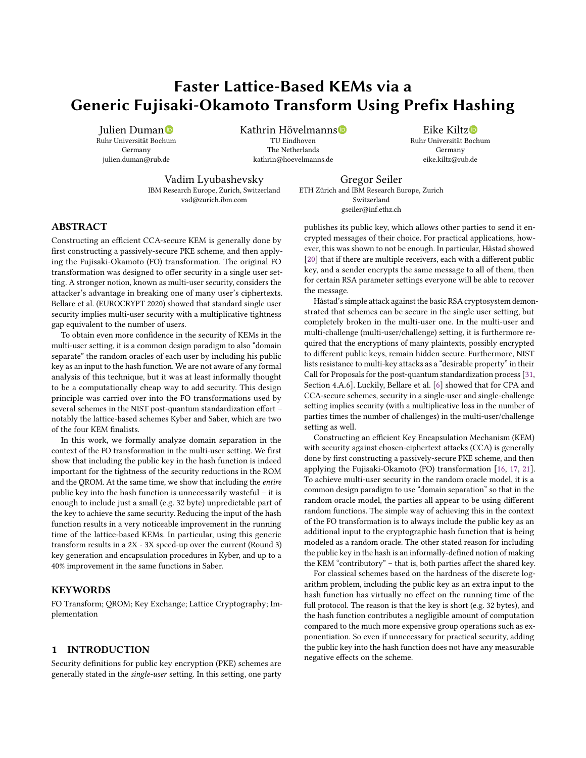# Faster Lattice-Based KEMs via a Generic Fujisaki-Okamoto Transform Using Prefix Hashing

Julien Duman<sup>®</sup> Ruhr Universität Boc[hum](https://orcid.org/0000-0002-5195-1290) Germany julien.duman@rub.de

Kathrin Hövelmanns TU Eindhoven The Netherlands kathrin@hoevelmanns.de

Eike Kiltz Ruhr Universität Bochum Germany eike.kiltz@rub.de

Vadim Lyubashevsky IBM Research Europe, Zurich, Switzerland vad@zurich.ibm.com

Gregor Seiler ETH Zürich and IBM Research Europe, Zurich Switzerland gseiler@inf.ethz.ch

### ABSTRACT

Constructing an efficient CCA-secure KEM is generally done by first constructing a passively-secure PKE scheme, and then applying the Fujisaki-Okamoto (FO) transformation. The original FO transformation was designed to offer security in a single user setting. A stronger notion, known as multi-user security, considers the attacker's advantage in breaking one of many user's ciphertexts. Bellare et al. (EUROCRYPT 2020) showed that standard single user security implies multi-user security with a multiplicative tightness gap equivalent to the number of users.

To obtain even more confidence in the security of KEMs in the multi-user setting, it is a common design paradigm to also "domain separate" the random oracles of each user by including his public key as an input to the hash function. We are not aware of any formal analysis of this technique, but it was at least informally thought to be a computationally cheap way to add security. This design principle was carried over into the FO transformations used by several schemes in the NIST post-quantum standardization effort – notably the lattice-based schemes Kyber and Saber, which are two of the four KEM finalists.

In this work, we formally analyze domain separation in the context of the FO transformation in the multi-user setting. We first show that including the public key in the hash function is indeed important for the tightness of the security reductions in the ROM and the QROM. At the same time, we show that including the entire public key into the hash function is unnecessarily wasteful – it is enough to include just a small (e.g. 32 byte) unpredictable part of the key to achieve the same security. Reducing the input of the hash function results in a very noticeable improvement in the running time of the lattice-based KEMs. In particular, using this generic transform results in a 2X - 3X speed-up over the current (Round 3) key generation and encapsulation procedures in Kyber, and up to a 40% improvement in the same functions in Saber.

### KEYWORDS

FO Transform; QROM; Key Exchange; Lattice Cryptography; Implementation

### 1 INTRODUCTION

Security definitions for public key encryption (PKE) schemes are generally stated in the single-user setting. In this setting, one party publishes its public key, which allows other parties to send it encrypted messages of their choice. For practical applications, however, this was shown to not be enough. In particular, Håstad showed [\[20\]](#page-12-0) that if there are multiple receivers, each with a different public key, and a sender encrypts the same message to all of them, then for certain RSA parameter settings everyone will be able to recover the message.

Håstad's simple attack against the basic RSA cryptosystem demonstrated that schemes can be secure in the single user setting, but completely broken in the multi-user one. In the multi-user and multi-challenge (multi-user/challenge) setting, it is furthermore required that the encryptions of many plaintexts, possibly encrypted to different public keys, remain hidden secure. Furthermore, NIST lists resistance to multi-key attacks as a "desirable property" in their Call for Proposals for the post-quantum standardization process [\[31,](#page-13-0) Section 4.A.6]. Luckily, Bellare et al. [\[6\]](#page-12-1) showed that for CPA and CCA-secure schemes, security in a single-user and single-challenge setting implies security (with a multiplicative loss in the number of parties times the number of challenges) in the multi-user/challenge setting as well.

Constructing an efficient Key Encapsulation Mechanism (KEM) with security against chosen-ciphertext attacks (CCA) is generally done by first constructing a passively-secure PKE scheme, and then applying the Fujisaki-Okamoto (FO) transformation [\[16,](#page-12-2) [17,](#page-12-3) [21\]](#page-12-4). To achieve multi-user security in the random oracle model, it is a common design paradigm to use "domain separation" so that in the random oracle model, the parties all appear to be using different random functions. The simple way of achieving this in the context of the FO transformation is to always include the public key as an additional input to the cryptographic hash function that is being modeled as a random oracle. The other stated reason for including the public key in the hash is an informally-defined notion of making the KEM "contributory" – that is, both parties affect the shared key.

For classical schemes based on the hardness of the discrete logarithm problem, including the public key as an extra input to the hash function has virtually no effect on the running time of the full protocol. The reason is that the key is short (e.g. 32 bytes), and the hash function contributes a negligible amount of computation compared to the much more expensive group operations such as exponentiation. So even if unnecessary for practical security, adding the public key into the hash function does not have any measurable negative effects on the scheme.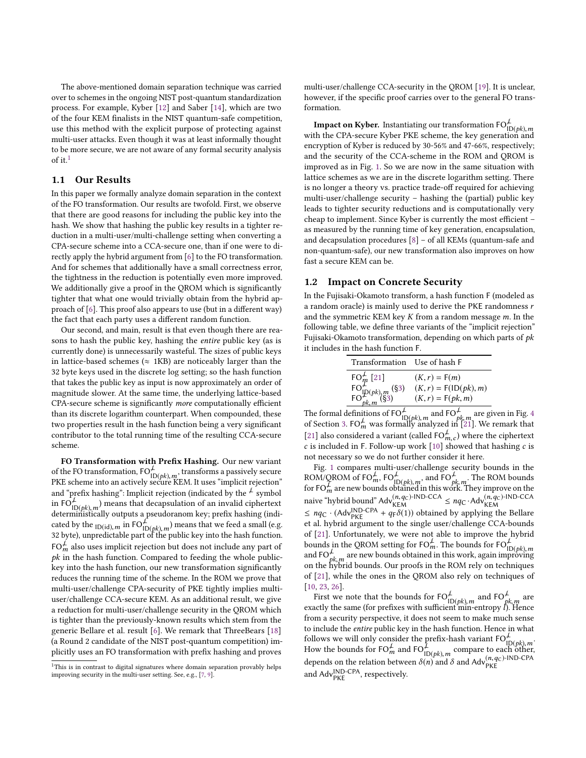The above-mentioned domain separation technique was carried over to schemes in the ongoing NIST post-quantum standardization process. For example, Kyber [\[12\]](#page-12-5) and Saber [\[14\]](#page-12-6), which are two of the four KEM finalists in the NIST quantum-safe competition, use this method with the explicit purpose of protecting against multi-user attacks. Even though it was at least informally thought to be more secure, we are not aware of any formal security analysis of it.<sup>[1](#page-1-0)</sup>

### 1.1 Our Results

In this paper we formally analyze domain separation in the context of the FO transformation. Our results are twofold. First, we observe that there are good reasons for including the public key into the hash. We show that hashing the public key results in a tighter reduction in a multi-user/multi-challenge setting when converting a CPA-secure scheme into a CCA-secure one, than if one were to directly apply the hybrid argument from [\[6\]](#page-12-1) to the FO transformation. And for schemes that additionally have a small correctness error, the tightness in the reduction is potentially even more improved. We additionally give a proof in the QROM which is significantly tighter that what one would trivially obtain from the hybrid approach of [\[6\]](#page-12-1). This proof also appears to use (but in a different way) the fact that each party uses a different random function.

Our second, and main, result is that even though there are reasons to hash the public key, hashing the entire public key (as is currently done) is unnecessarily wasteful. The sizes of public keys in lattice-based schemes ( $\approx$  1KB) are noticeably larger than the 32 byte keys used in the discrete log setting; so the hash function that takes the public key as input is now approximately an order of magnitude slower. At the same time, the underlying lattice-based CPA-secure scheme is significantly more computationally efficient than its discrete logarithm counterpart. When compounded, these two properties result in the hash function being a very significant contributor to the total running time of the resulting CCA-secure scheme.

FO Transformation with Prefix Hashing. Our new variant of the FO transformation,  $FO_{\text{max}}^{\perp}$ , transforms a passively secure of the FO transformation, FO<sub>ID(pk), m</sub>, transforms a passively secure<br>PKE scheme into an actively secure KEM. It uses "implicit rejection" and "prefix hashing": Implicit rejection (indicated by the  $\frac{1}{\epsilon}$  symbol in  $FO_{\text{max}}^{\frac{1}{2}}$  ) means that decapsulation of an invalid ciphertext in FO $_{\text{ID}(pk),m}^{\bullet}$ ) means that decapsulation or an invalid ciphertext<br>deterministically outputs a pseudoranom key: prefix hashing (indicated by the  $\text{ID}(id), m \text{ in } \text{FO}_{|D(b|k), m}^{\mathcal{L}}$  means that we feed a small (e.g.<br>32 hyte), unpredictable part of the public key into the hash function cated by the <sub>ID(id), m</sub> in  $\text{PO}_{\text{ID}(pk),m}$  means that we feed a small (e.g.<br>32 byte), unpredictable part of the public key into the hash function.  $FO<sub>m</sub><sup>L</sup>$  also uses implicit rejection but does not include any part of  $n_k$  in the bash function. Compared to feeding the whole public $pk$  in the hash function. Compared to feeding the whole publickey into the hash function, our new transformation significantly reduces the running time of the scheme. In the ROM we prove that multi-user/challenge CPA-security of PKE tightly implies multiuser/challenge CCA-secure KEM. As an additional result, we give a reduction for multi-user/challenge security in the QROM which is tighter than the previously-known results which stem from the generic Bellare et al. result [\[6\]](#page-12-1). We remark that ThreeBears [\[18\]](#page-12-7) (a Round 2 candidate of the NIST post-quantum competition) implicitly uses an FO transformation with prefix hashing and proves

multi-user/challenge CCA-security in the QROM [\[19\]](#page-12-10). It is unclear, however, if the specific proof carries over to the general FO transformation.

**Impact on Kyber.** Instantiating our transformation  $FO_{\text{ID}(pk), m}^{\perp}$  with the CPA-secure Kyber PKE scheme, the key generation and encryption of Kyber is reduced by 30-56% and 47-66%, respectively; and the security of the CCA-scheme in the ROM and QROM is improved as in Fig. [1.](#page-2-0) So we are now in the same situation with lattice schemes as we are in the discrete logarithm setting. There is no longer a theory vs. practice trade-off required for achieving multi-user/challenge security – hashing the (partial) public key leads to tighter security reductions and is computationally very cheap to implement. Since Kyber is currently the most efficient – as measured by the running time of key generation, encapsulation, and decapsulation procedures [\[8\]](#page-12-11) – of all KEMs (quantum-safe and non-quantum-safe), our new transformation also improves on how fast a secure KEM can be.

### 1.2 Impact on Concrete Security

In the Fujisaki-Okamoto transform, a hash function F (modeled as a random oracle) is mainly used to derive the PKE randomness r and the symmetric KEM key  $K$  from a random message  $m$ . In the following table, we define three variants of the "implicit rejection" Fujisaki-Okamoto transformation, depending on which parts of  $pk$ it includes in the hash function F.

| Transformation Use of hash F                                                                               |                                                                   |
|------------------------------------------------------------------------------------------------------------|-------------------------------------------------------------------|
| FO <sup>L</sup> <sub>m</sub> [21]<br>FO <sup>L</sup> <sub>IP(pk), m</sub> (§3)<br>FO <sub>pk, m</sub> (§3) | $(K, r) = F(m)$<br>$(K, r) = F(ID(pk), m)$<br>$(K, r) = F(pk, m)$ |
|                                                                                                            |                                                                   |

 $\frac{\text{FO}_{pk,m}^{P(P/k)/(n)}}{\text{The formal definitions of } \text{FO}_{\text{ID}(pk),m}^{\perp} \text{ and } \text{FO}_{pk,m}^{\perp}$ <br>of Section 3. FO $_{\text{in}}^{\perp}$  was formally analyzed in [21]  $\frac{\mu}{\rho k, m}$  are given in Fig. [4](#page-6-0)<br>1 [21]. We remark that of Section [3.](#page-5-0) FO<sup> $L$ </sup><sub>m</sub> was formally analyzed in  $\mathbb{R}^{21}$ . We remark that [\[21\]](#page-12-4) also considered a variant (called  $FO_{\text{max}}^{\neq}$ ) where the ciphertext  $c$  is included in F. Follow-up work [\[10\]](#page-12-12) showed that hashing  $c$  is not necessary so we do not further consider it here not necessary so we do not further consider it here.

Fig. [1](#page-2-0) compares multi-user/challenge security bounds in the  $\overline{\text{ROM}/\text{QROM}}$  of FO $_m^{\neq}$ , FO $_{\text{ID}(pk),m}^{\neq}$ , and FO $_{pi}^{\neq}$ <br>for FO $_m^{\neq}$  are new bounds obtained in this wor  $\mu_{pk,m}^{\neq}$ . The ROM bounds<br>ork. They improve on the for FO $_{m}^{\mathcal{F}}$  are new bounds obtained in this work. They improve on the<br>naive "hybrid bound" Adv<sup>(n,q</sup>C)<sup>-IND-CCA</sup>  $\leq nqC \cdot \text{Adv}_{\text{KEM}}^{(n,q_C) - \text{IND-CCA}}$  $\leq nq_C \cdot (\text{Adv}_{\text{NE}}^{\text{IND-CPA}} + q_F \delta(1))$  obtained by applying the Bellare et al. hybrid argument to the single user/challenge CCA-bounds of [\[21\]](#page-12-4). Unfortunately, we were not able to improve the hybrid bounds in the QROM setting for FO $^{\neq}_{m}$ . The bounds for FO $^{\neq}_{\text{ID}(pk), m}$  and FO $^{\neq}$  are new bounds obtained in this work, again improving  $\mu_{k,m}^{\mu}$  are new bounds obtained in this work, again improving<br>hybrid bounds. Our proofs in the ROM rely on techniques on the hybrid bounds. Our proofs in the ROM rely on techniques of [\[21\]](#page-12-4), while the ones in the QROM also rely on techniques of [\[10,](#page-12-12) [23,](#page-12-13) [26\]](#page-13-1).

First we note that the bounds for  $FO_{[D(\rho k), m]}^{\mathcal{L}}$  and  $FO_{\rho i}^{\mathcal{L}}$  and  $[FO_{\rho k]}^{\mathcal{L}}$ ⊥<br><sub>*pk,m*≀</sub>are<br>l). Hence exactly the same (for prefixes with sufficient  $\min_{m}$ -entropy l). Hence<br>from a security perspective, it does not seem to make much sense from a security perspective, it does not seem to make much sense to include the entire public key in the hash function. Hence in what follows we will only consider the prefix-hash variant  $FO_{ID(\rho k), m}^{\perp}$ .<br>How the bounds for  $FO_{m}^{\perp}$  and  $FO_{m}^{\perp}$ . How the bounds for  $FO_{\text{ID}}^{\perp}$  and  $FO_{\text{ID}(pk), m}^{\perp}$  compare to each other,  $m_{\text{ID}(pk), m}$ How the bounds for FO<sub>*m*</sub> and FO<sub>ID(*pk*), *m*</sub> compare to each other<br>depends on the relation between  $\delta(n)$  and  $\delta$  and Adv<sup>(*n*,q<sub>C</sub>)-IND-CPA</sub><br>and AdvIND-CPA</sub> accountingly</sup> and Adv<sup>IND-CPA</sup>, respectively.

<span id="page-1-0"></span><sup>&</sup>lt;sup>1</sup>This is in contrast to digital signatures where domain separation provably helps improving security in the multi-user setting. See, e.g., [\[7,](#page-12-8) [9\]](#page-12-9).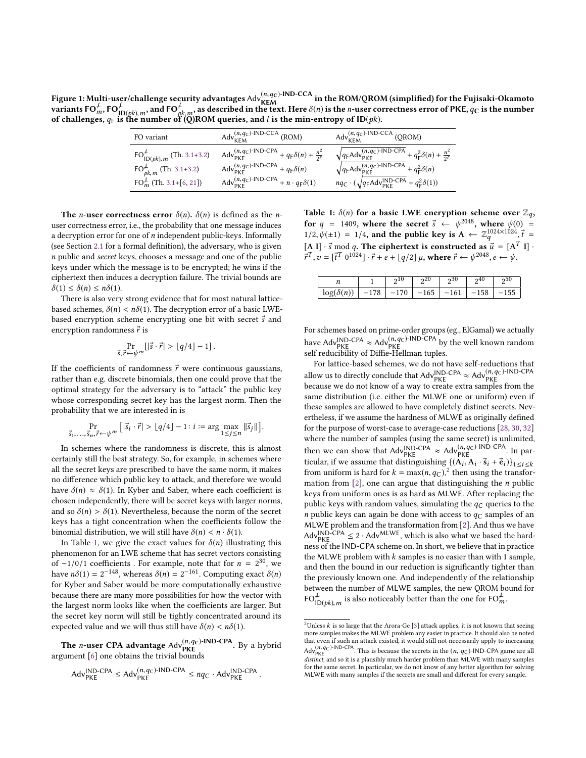<span id="page-2-0"></span>Figure 1: Multi-user/challenge security advantages  $\text{Adv}^{(n,q_C)\text{-IND-CCA}}_{\text{KEM}}$  in the ROM/QROM (simplified) for the Fujisaki-Okamoto variants FO $_m^{\neq}$ , FO $_{\text{ID}(pk), m}^{\neq}$  of challenges,  $a_F$  is the n , and FO $\frac{1}{N}$  $\overset{\leftarrow}{p}_{k,m}$ , as described in the text. Here  $\delta(n)$  is the n-user correctness error of PKE,  $q_\mathbf{C}$  is the number<br>If (O)ROM queries, and  $l$  is the min-entropy of ID( $vk$ ). of challenges,  $q_F$  is the number of  $\dddot{Q}$ )ROM queries, and l is the min-entropy of ID(pk).

| FO variant                        | $Adv_{KEM}^{(n,q_C)-IND-CCA}$ (ROM)                                                              | $\mathsf{Adv}_{\mathsf{KEM}}^{(n,q_\mathsf{C})\text{-}\mathsf{IND}\text{-}\mathsf{CCA}}$ (QROM) |
|-----------------------------------|--------------------------------------------------------------------------------------------------|-------------------------------------------------------------------------------------------------|
| $FOLID(pk), m$ (Th. 3.1+3.2)      | $Adv_{\text{PKE}}^{(n,q_{\text{C}})\text{-IND-CPA}} + q_{\text{F}}\delta(n) + \frac{n^2}{2\ell}$ | $\sqrt{q_F A d v_{\text{PKE}}^{(n,q_C)}$ -IND-CPA + $q_F^2 \delta(n) + \frac{n^2}{2\ell}$       |
| $FO_{pk,m}^{\perp}$ (Th. 3.1+3.2) | $Adv_{\text{PKE}}^{(n,q_{\text{C}})\text{-IND-CPA}} + q_{\text{F}}\delta(n)$                     | $\sqrt{q_F A d v_{\text{PKE}}^{(n, q_C)} N D - C P A} + q_F^2 \delta(n)$                        |
| $FO_m^{\neq}$ (Th. 3.1+[6, 21])   | $Adv^{(n, q_c)\text{-IND-CPA}}_{\text{PKE}} + n \cdot q_{\text{F}} \delta(1)$                    | $nq_{\rm C} \cdot (\sqrt{q_{\rm F} A d v_{\rm PKE}^{\rm IND-CPA}} + q_{\rm F}^2 \delta(1))$     |

The *n*-user correctness error  $\delta(n)$ .  $\delta(n)$  is defined as the *n*user correctness error, i.e., the probability that one message induces a decryption error for one of  $n$  independent public-keys. Informally (see Section [2.1](#page-3-0) for a formal definition), the adversary, who is given n public and secret keys, chooses a message and one of the public keys under which the message is to be encrypted; he wins if the ciphertext then induces a decryption failure. The trivial bounds are  $\delta(1) \leq \delta(n) \leq n\delta(1)$ .

There is also very strong evidence that for most natural latticebased schemes,  $\delta(n) < n\delta(1)$ . The decryption error of a basic LWEbased encryption scheme encrypting one bit with secret  $\vec{s}$  and encryption randomness  $\vec{r}$  is

$$
\Pr_{\vec{s},\vec{r}\leftarrow \psi^m}[|\vec{s}\cdot\vec{r}| > \lfloor q/4 \rfloor - 1].
$$

If the coefficients of randomness  $\vec{r}$  were continuous gaussians, rather than e.g. discrete binomials, then one could prove that the optimal strategy for the adversary is to "attack" the public key whose corresponding secret key has the largest norm. Then the probability that we are interested in is

$$
\Pr_{\vec{s}_1,\ldots,\vec{s}_n,\vec{r}\leftarrow\psi^m}\left[|\vec{s}_i\cdot\vec{r}| > \lfloor q/4 \rfloor - 1\colon i := \arg\max_{1 \le j \le n} \|\vec{s}_j\|\right].
$$

In schemes where the randomness is discrete, this is almost certainly still the best strategy. So, for example, in schemes where all the secret keys are prescribed to have the same norm, it makes no difference which public key to attack, and therefore we would have  $\delta(n) \approx \delta(1)$ . In Kyber and Saber, where each coefficient is chosen independently, there will be secret keys with larger norms, and so  $\delta(n) > \delta(1)$ . Nevertheless, because the norm of the secret keys has a tight concentration when the coefficients follow the binomial distribution, we will still have  $\delta(n) < n \cdot \delta(1)$ .

In Table [1,](#page-2-1) we give the exact values for  $\delta(n)$  illustrating this phenomenon for an LWE scheme that has secret vectors consisting of −1/0/1 coefficients . For example, note that for  $n = 2^{30}$ , we<br>have  $n\delta(1) = 2^{-148}$  whereas  $\delta(n) = 2^{-161}$  Computing exact  $\delta(n)$ have  $n\delta(1) = 2^{-148}$ , whereas  $\delta(n) = 2^{-161}$ . Computing exact  $\delta(n)$ <br>for Kyber and Saber would be more computationally exhaustive for Kyber and Saber would be more computationally exhaustive because there are many more possibilities for how the vector with the largest norm looks like when the coefficients are larger. But the secret key norm will still be tightly concentrated around its expected value and we will thus still have  $\delta(n) < n\delta(1)$ .

**The** *n***-user CPA advantage**  $Adv^{(n,q_c)}$ -IND-CPA. By a hybrid argument [\[6\]](#page-12-1) one obtains the trivial bounds

$$
Adv_{PKE}^{\text{IND-CPA}} \le Adv_{PKE}^{(n,q_C)\text{-IND-CPA}} \le nq_C \cdot Adv_{PKE}^{\text{IND-CPA}}.
$$

<span id="page-2-1"></span>Table 1:  $\delta(n)$  for a basic LWE encryption scheme over  $\mathbb{Z}_q$ , for  $q = 1409$ , where the secret  $\vec{s} \leftarrow \psi^{2048}$ , where  $\psi(0) =$ <br> $\psi^{1/2} \psi(+1) = 1/4$  and the public leav is  $A \leftarrow \mathbb{Z}^{1024 \times 1024} \vec{\tau}$  $1/2, \psi(\pm 1) = 1/4$ , and the public key is  $A \leftarrow \mathbb{Z}_q^{1024 \times 1024}, \vec{t} =$ [A I]  $\cdot$   $\vec{s}$  mod q. The ciphertext is constructed as  $\vec{u} = [A^T I] \cdot \vec{v} = \vec{v}^T a^{10241} \cdot \vec{v} + a + [a/2] u$ , where  $\vec{v} \leftarrow u^{2048} a \leftarrow u$  $\vec{r}^T, v = [\vec{t}^T \ 0^{1024}] \cdot \vec{r} + e + \lfloor q/2 \rfloor \mu$ , where  $\vec{r} \leftarrow \psi^{2048}, e \leftarrow \psi$ .

|                   |        | 010    | $20^{\circ}$ | ეას    | എ4∪    | ე50 |
|-------------------|--------|--------|--------------|--------|--------|-----|
| $\log(\delta(n))$ | $-178$ | $-170$ | $-165$       | $-161$ | $-158$ | 155 |
|                   |        |        |              |        |        |     |

For schemes based on prime-order groups (eg., ElGamal) we actually have Adv<sup>IND-CPA</sup>  $\approx$  Adv<sub>PKE</sub>  $^{(n,q_C)$ -IND-CPA by the well known random self reducibility of Diffie-Hellman tuples.

For lattice-based schemes, we do not have self-reductions that allow us to directly conclude that  $Adv_{PKE}^{IND-CPA} \approx Adv_{PKE}^{(n,q_C)-IND-CPA}$ because we do not know of a way to create extra samples from the same distribution (i.e. either the MLWE one or uniform) even if these samples are allowed to have completely distinct secrets. Nevertheless, if we assume the hardness of MLWE as originally defined for the purpose of worst-case to average-case reductions [\[28,](#page-13-2) [30,](#page-13-3) [32\]](#page-13-4) where the number of samples (using the same secret) is unlimited, then we can show that  $Adv_{\text{PKE}}^{\text{IND-CPA}} \approx Adv_{\text{PKE}}^{(n,q_C)\text{-IND-CPA}}$ . In particular, if we assume that distinguishing  $\{(\mathbf{A}_i, \mathbf{A}_i \cdot \vec{s}_i + \vec{e}_i)\}_{1 \leq i \leq k}$ <br>from uniform is hard for  $k = \max(n, a_0)^2$  then using the transforfrom uniform is hard for  $k = \max(n, q_C)^2$  $k = \max(n, q_C)^2$  then using the transfor-<br>mation from [2] one can argue that distinguishing the *n* public mation from  $[2]$ , one can argue that distinguishing the *n* public keys from uniform ones is as hard as MLWE. After replacing the public keys with random values, simulating the  $q_C$  queries to the *n* public keys can again be done with access to  $q_c$  samples of an MLWE problem and the transformation from [\[2\]](#page-12-14). And thus we have Adv<sub>IND</sub>-CPA  $\leq 2 \cdot$  Adv<sup>MLWE</sup>, which is also what we based the hardness of the IND-CPA scheme on. In short, we believe that in practice the MLWE problem with  $k$  samples is no easier than with 1 sample, and then the bound in our reduction is significantly tighter than the previously known one. And independently of the relationship between the number of MLWE samples, the new QROM bound for FO $_{1D(pk), m}^{\neq}$  is also noticeably better than the one for FO $_m^{\neq}$ .

<span id="page-2-2"></span><sup>&</sup>lt;sup>2</sup>Unless  $k$  is so large that the Arora-Ge [\[3\]](#page-12-15) attack applies, it is not known that seeing more samples makes the MLWE problem any easier in practice. It should also be noted that even if such an attack existed, it would still not necessarily apply to increasing  $\text{Adv}_{\text{PKE}}^{(n,q_C)\text{-IND-CPA}}$ . This is because the secrets in the  $(n, q_C)\text{-IND-CPA}$  game are all distinct and so it is a plausibly much barder problem than MI WE with many samples distinct, and so it is a plausibly much harder problem than MLWE with many samples for the same secret. In particular, we do not know of any better algorithm for solving MLWE with many samples if the secrets are small and different for every sample.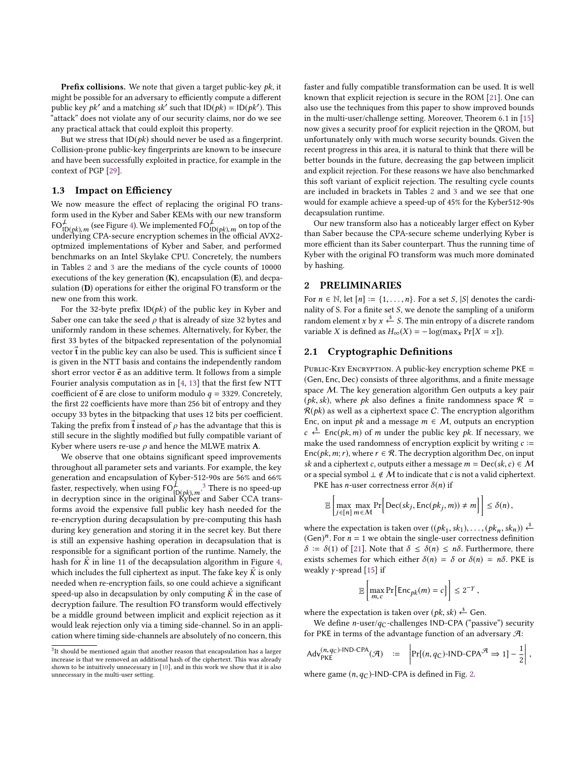**Prefix collisions.** We note that given a target public-key  $pk$ , it might be possible for an adversary to efficiently compute a different public key  $pk'$  and a matching  $sk'$  such that  $ID(pk) = ID(pk')$ . This "attack" does not violate any of our security claims, nor do we see any practical attack that could exploit this property.

But we stress that  $ID(pk)$  should never be used as a fingerprint. Collision-prone public-key fingerprints are known to be insecure and have been successfully exploited in practice, for example in the context of PGP [\[29\]](#page-13-5).

### 1.3 Impact on Efficiency

We now measure the effect of replacing the original FO transform used in the Kyber and Saber KEMs with our new transform  $FO_{ID(pk), m}^{\neq}$  (see Figure [4\)](#page-6-0). We implemented  $FO_{ID(pk), m}^{\neq}$  on top of the underlying CPA-secure encryption schemes in the official AVX2underlying CPA-secure encryption schemes in the official AVX2optmized implementations of Kyber and Saber, and performed benchmarks on an Intel Skylake CPU. Concretely, the numbers in Tables [2](#page-4-0) and [3](#page-4-1) are the medians of the cycle counts of 10000 executions of the key generation  $(K)$ , encapsulation  $(E)$ , and decpasulation (D) operations for either the original FO transform or the new one from this work.

For the 32-byte prefix  $ID(pk)$  of the public key in Kyber and Saber one can take the seed  $\rho$  that is already of size 32 bytes and uniformly random in these schemes. Alternatively, for Kyber, the first 33 bytes of the bitpacked representation of the polynomial vector  $\vec{t}$  in the public key can also be used. This is sufficient since  $\vec{t}$ is given in the NTT basis and contains the independently random short error vector  $\vec{e}$  as an additive term. It follows from a simple Fourier analysis computation as in [\[4,](#page-12-16) [13\]](#page-12-17) that the first few NTT coefficient of  $\vec{e}$  are close to uniform modulo  $q = 3329$ . Concretely, the first 22 coefficients have more than 256 bit of entropy and they occupy 33 bytes in the bitpacking that uses 12 bits per coefficient. Taking the prefix from  $\vec{t}$  instead of  $\rho$  has the advantage that this is still secure in the slightly modified but fully compatible variant of Kyber where users re-use  $\rho$  and hence the MLWE matrix A.

We observe that one obtains significant speed improvements throughout all parameter sets and variants. For example, the key generation and encapsulation of Kyber-512-90s are 56% and 66% faster, respectively, when using FO $\vec{P}(\mathbf{p}(p k), m^2)$  There is no speed-up in decryption since in the original Kyber and Saber CCA trans in decryption since in the original Kyber and Saber CCA transforms avoid the expensive full public key hash needed for the re-encryption during decapsulation by pre-computing this hash during key generation and storing it in the secret key. But there is still an expensive hashing operation in decapsulation that is responsible for a significant portion of the runtime. Namely, the hash for  $\tilde{K}$  in line 11 of the decapsulation algorithm in Figure [4,](#page-6-0) which includes the full ciphertext as input. The fake key  $\tilde{K}$  is only which includes the full ciphertext as input. The fake key  $\tilde{K}$  is only needed when re-encryption fails, so one could achieve a significant needed when re-encryption fails, so one could achieve a significant speed-up also in decapsulation by only computing  $\tilde{K}$  in the case of decryption folling. The resultion FO transform would effectively decryption failure. The resultion FO transform would effectively be a middle ground between implicit and explicit rejection as it would leak rejection only via a timing side-channel. So in an application where timing side-channels are absolutely of no concern, this faster and fully compatible transformation can be used. It is well known that explicit rejection is secure in the ROM [\[21\]](#page-12-4). One can also use the techniques from this paper to show improved bounds in the multi-user/challenge setting. Moreover, Theorem <sup>6</sup>.<sup>1</sup> in [\[15\]](#page-12-18) now gives a security proof for explicit rejection in the QROM, but unfortunately only with much worse security bounds. Given the recent progress in this area, it is natural to think that there will be better bounds in the future, decreasing the gap between implicit and explicit rejection. For these reasons we have also benchmarked this soft variant of explicit rejection. The resulting cycle counts are included in brackets in Tables [2](#page-4-0) and [3](#page-4-1) and we see that one would for example achieve a speed-up of 45% for the Kyber512-90s decapsulation runtime.

Our new transform also has a noticeably larger effect on Kyber than Saber because the CPA-secure scheme underlying Kyber is more efficient than its Saber counterpart. Thus the running time of Kyber with the original FO transform was much more dominated by hashing.

#### 2 PRELIMINARIES

For  $n \in \mathbb{N}$ , let  $[n] := \{1, \ldots, n\}$ . For a set S,  $|S|$  denotes the cardinality of S. For a finite set  $S$ , we denote the sampling of a uniform random element x by  $x \stackrel{s}{\longleftarrow} S$ . The min entropy of a discrete random<br>variable X is defined as H (X) = - log(max, Pr[X = x]) variable X is defined as  $H_{\infty}(X) = -\log(\max_{x} \Pr[X = x])$ .

### <span id="page-3-0"></span>2.1 Cryptographic Definitions

PUBLIC-KEY ENCRYPTION. A public-key encryption scheme PKE = (Gen, Enc, Dec) consists of three algorithms, and a finite message space M. The key generation algorithm Gen outputs a key pair (*pk*, *sk*), where *pk* also defines a finite randomness space  $\mathcal{R}$  =  $R(pk)$  as well as a ciphertext space C. The encryption algorithm Enc, on input *pk* and a message  $m \in M$ , outputs an encryption make the used randomness of encryption explicit by writing  $c :=$ <br>Foc( $nk$  m: r) where  $r \in \mathcal{R}$ . The decryption algorithm Dec on input  $c \stackrel{\$}{\leftarrow}$  Enc(*pk, m*) of *m* under the public key *pk*. If necessary, we Enc(*pk*, *m*; *r*), where  $r \in \mathcal{R}$ . The decryption algorithm Dec, on input sk and a ciphertext c, outputs either a message  $m = \text{Dec}(sk, c) \in \mathcal{M}$ or a special symbol  $\perp \notin \mathcal{M}$  to indicate that c is not a valid ciphertext.

PKE has *n*-user correctness error  $\delta(n)$  if

$$
\mathbb{E}\left[\max_{j\in[n]} \max_{m\in\mathcal{M}} \Pr\bigg[\text{Dec}(sk_j,\text{Enc}(pk_j,m))\neq m\bigg]\right] \leq \delta(n),
$$

where the expectation is taken over  $((pk_1, sk_1), ..., (pk_n, sk_n)) \stackrel{\delta}{\longleftarrow}$ <br>(Gen)<sup>n</sup> For  $n = 1$  we obtain the single-user correctness definition  $(\text{Gen})^n$ . For  $n = 1$  we obtain the single-user correctness definition  $\delta = \delta(1)$  of [21]. Note that  $\delta \leq \delta(n) \leq n\delta$ . Eurthermore, there  $\delta := \delta(1)$  of [\[21\]](#page-12-4). Note that  $\delta \leq \delta(n) \leq n\delta$ . Furthermore, there exists schemes for which either  $\delta(n) = \delta$  or  $\delta(n) = n\delta$ . PKE is weakly  $\gamma$ -spread [\[15\]](#page-12-18) if

$$
\mathbb{E}\left[\max_{m,c} \Pr\big[\mathsf{Enc}_{pk}(m) = c\big]\right] \leq 2^{-\gamma},
$$

where the expectation is taken over  $(pk, sk) \xleftarrow{\text{\$}}$  Gen.<br>We define n-user/ac-challenges IND-CPA ("pass

We define *n*-user/ $q_C$ -challenges IND-CPA ("passive") security for PKE in terms of the advantage function of an adversary  $\mathcal{A}$ :

$$
Adv_{PKE}^{(n,q_C)\text{-IND-CPA}}(\mathcal{A}) \quad := \quad \left| \Pr[(n,q_C)\text{-IND-CPA}^{\mathcal{A}} \Rightarrow 1] - \frac{1}{2} \right|,
$$

where game  $(n, q_C)$ -IND-CPA is defined in Fig. [2.](#page-4-2)

<span id="page-3-1"></span> $3$ It should be mentioned again that another reason that encapsulation has a larger increase is that we removed an additional hash of the ciphertext. This was already shown to be intuitively unnecessary in [\[10\]](#page-12-12), and in this work we show that it is also unnecessary in the multi-user setting.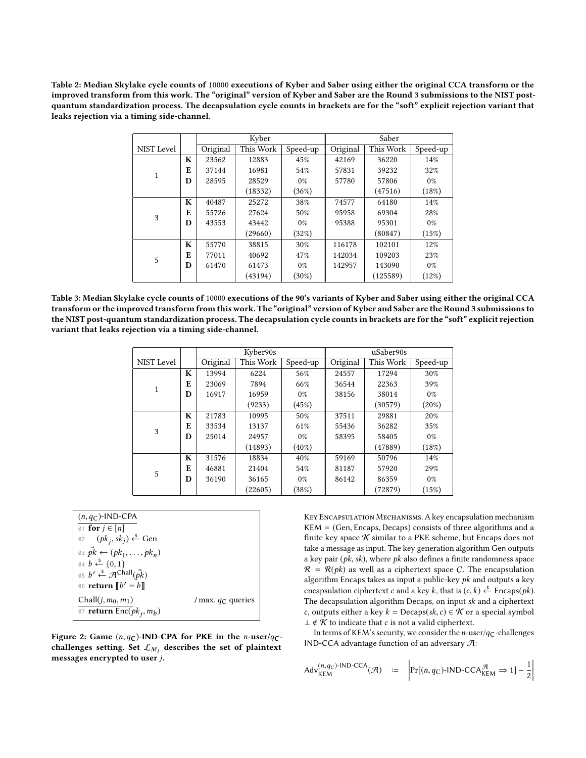<span id="page-4-0"></span>Table 2: Median Skylake cycle counts of 10000 executions of Kyber and Saber using either the original CCA transform or the improved transform from this work. The "original" version of Kyber and Saber are the Round 3 submissions to the NIST postquantum standardization process. The decapsulation cycle counts in brackets are for the "soft" explicit rejection variant that leaks rejection via a timing side-channel.

|                   |   | Kyber    |           | Saber    |          |           |          |
|-------------------|---|----------|-----------|----------|----------|-----------|----------|
| <b>NIST Level</b> |   | Original | This Work | Speed-up | Original | This Work | Speed-up |
|                   | K | 23562    | 12883     | 45%      | 42169    | 36220     | 14%      |
| 1                 | E | 37144    | 16981     | 54%      | 57831    | 39232     | 32%      |
|                   | D | 28595    | 28529     | $0\%$    | 57780    | 57806     | $0\%$    |
|                   |   |          | (18332)   | (36%)    |          | (47516)   | (18%)    |
|                   | K | 40487    | 25272     | 38%      | 74577    | 64180     | 14%      |
| 3                 | E | 55726    | 27624     | 50%      | 95958    | 69304     | 28%      |
|                   | D | 43553    | 43442     | $0\%$    | 95388    | 95301     | 0%       |
|                   |   |          | (29660)   | (32%)    |          | (80847)   | (15%)    |
|                   | K | 55770    | 38815     | 30%      | 116178   | 102101    | 12%      |
| 5                 | E | 77011    | 40692     | 47%      | 142034   | 109203    | 23%      |
|                   | D | 61470    | 61473     | $0\%$    | 142957   | 143090    | $0\%$    |
|                   |   |          | (43194)   | $(30\%)$ |          | (125589)  | (12%)    |

<span id="page-4-1"></span>Table 3: Median Skylake cycle counts of 10000 executions of the 90's variants of Kyber and Saber using either the original CCA transform or the improved transform from this work. The "original" version of Kyber and Saber are the Round 3 submissions to the NIST post-quantum standardization process. The decapsulation cycle counts in brackets are for the "soft" explicit rejection variant that leaks rejection via a timing side-channel.

|            |   |          | Kyber90s  |          | uSaber90s |           |          |
|------------|---|----------|-----------|----------|-----------|-----------|----------|
| NIST Level |   | Original | This Work | Speed-up | Original  | This Work | Speed-up |
|            | K | 13994    | 6224      | 56%      | 24557     | 17294     | 30%      |
| 1          | E | 23069    | 7894      | 66%      | 36544     | 22363     | 39%      |
|            | D | 16917    | 16959     | $0\%$    | 38156     | 38014     | $0\%$    |
|            |   |          | (9233)    | (45%)    |           | (30579)   | $(20\%)$ |
|            | K | 21783    | 10995     | 50%      | 37511     | 29881     | 20%      |
| 3          | E | 33534    | 13137     | 61%      | 55436     | 36282     | 35%      |
|            | D | 25014    | 24957     | $0\%$    | 58395     | 58405     | $0\%$    |
|            |   |          | (14893)   | $(40\%)$ |           | (47889)   | (18%)    |
|            | K | 31576    | 18834     | 40%      | 59169     | 50796     | 14%      |
| 5          | E | 46881    | 21404     | 54%      | 81187     | 57920     | 29%      |
|            | D | 36190    | 36165     | $0\%$    | 86142     | 86359     | $0\%$    |
|            |   |          | (22605)   | (38%)    |           | (72879)   | (15%)    |

<span id="page-4-2"></span> $(n, q<sub>C</sub>)$ -IND-CPA 01 for  $j \in [n]$ 02  $(pk_j, sk_j) \stackrel{\$}{\leftarrow}$  Gen 03  $\vec{pk} \leftarrow (pk_1, ..., pk_n)$ <br>04  $\vec{b} \times \{0, 1\}$ 04  $$  $\theta$ 4  $b \leftarrow \{0, 1\}$ 05  $b' \stackrel{\$}{\leftarrow} \mathcal{A}^{\text{Chall}}(\vec{pk})$ <br>06 return  $\llbracket b' - b \rrbracket$ 06 return  $[[b' = b]]$ Chall $(j, m_0, m_1)$  / max.  $q_C$  queries <sup>07</sup> return  $\overline{\textsf{Enc}}(pk_j, m_b)$  $\overline{\phantom{a}}$ 

Figure 2: Game  $(n, q<sub>C</sub>)$ -IND-CPA for PKE in the *n*-user/ $q<sub>C</sub>$ challenges setting. Set  $\mathcal{L}_{M_j}$  describes the set of plaintext<br>messages aperunted to user i messages encrypted to user j.

Key Encapsulation Mechanisms. A key encapsulation mechanism  $KEM = (Gen, Encaps, Decaps)$  consists of three algorithms and a finite key space  $K$  similar to a PKE scheme, but Encaps does not take a message as input. The key generation algorithm Gen outputs a key pair ( $pk$ ,  $sk$ ), where  $pk$  also defines a finite randomness space  $\mathcal{R} = \mathcal{R}(pk)$  as well as a ciphertext space C. The encapsulation algorithm Encaps takes as input a public-key  $pk$  and outputs a key encapsulation ciphertext c and a key k, that is  $(c, k) \xleftarrow{\delta}$  Encaps(pk).<br>The decapsulation algorithm Decaps on input sk and a ciphertext The decapsulation algorithm Decaps, on input sk and a ciphertext c, outputs either a key  $k = \text{Decaps}(sk, c) \in \mathcal{K}$  or a special symbol  $\perp \notin \mathcal{K}$  to indicate that *c* is not a valid ciphertext.

In terms of KEM's security, we consider the *n*-user/ $q_C$ -challenges IND-CCA advantage function of an adversary A:

$$
Adv_{\mathsf{KEM}}^{(n,q_C)\text{-IND-CCA}}(\mathcal{A}) \quad := \quad \left| \Pr[(n,q_C)\text{-IND-CCA}_{\mathsf{KEM}}^{\mathcal{A}} \Rightarrow 1] - \frac{1}{2} \right|
$$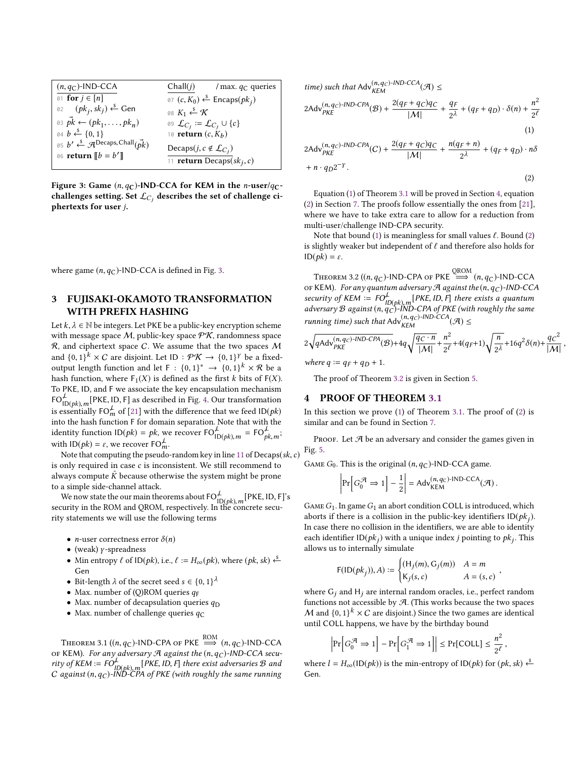<span id="page-5-3"></span>

| $(n, qC)$ -IND-CCA                                       | Chall(j)<br>/ max. $q_C$ queries                              |
|----------------------------------------------------------|---------------------------------------------------------------|
| $\emptyset$ 1 for $j \in [n]$                            | $\theta$ 7 (c, K <sub>0</sub> ) ← Encaps(pk <sub>j</sub> )    |
| 02 $(pk_j, sk_j) \stackrel{\$}{\leftarrow}$ Gen          | 08 $K_1 \stackrel{\$}{\leftarrow} \mathcal{K}$                |
| 03 $\vec{pk} \leftarrow (pk_1, \ldots, pk_n)$            | 09 $\mathcal{L}_{C_i} \coloneqq \mathcal{L}_{C_i} \cup \{c\}$ |
| $\emptyset$ 4 $b \stackrel{\$}{\leftarrow} \{0,1\}$      | 10 <b>return</b> $(c, K_b)$                                   |
| 05 $b' \leftarrow \mathcal{A}^{Decaps, Chall}(\vec{pk})$ | Decaps $(j, c \notin \mathcal{L}_{C_i})$                      |
| 06 <b>return</b> $[b = b']$                              | 11 <b>return</b> Decaps( $sk_j, c$ )                          |
|                                                          |                                                               |
|                                                          |                                                               |

Figure 3: Game  $(n, q<sub>C</sub>)$ -IND-CCA for KEM in the n-user/ $q<sub>C</sub>$ challenges setting. Set  $\mathcal{L}_{C_j}$  describes the set of challenge ci-<br>phertoxts for user i phertexts for user j.

where game  $(n, q<sub>C</sub>)$ -IND-CCA is defined in Fig. [3.](#page-5-3)

## <span id="page-5-0"></span>3 FUJISAKI-OKAMOTO TRANSFORMATION WITH PREFIX HASHING

Let  $k, \lambda \in \mathbb{N}$  be integers. Let PKE be a public-key encryption scheme with message space  $M$ , public-key space  $P\mathcal{K}$ , randomness space  $R$ , and ciphertext space  $C$ . We assume that the two spaces  $M$ and  ${0,1}^k \times C$  are disjoint. Let  ${1}D : \mathcal{PK} \to {0,1}^l$  be a fixed-<br>output length function and let  $E : {0,1}^* \to {0,1}^k \times \mathcal{P}$  be a output length function and let  $F : \{0,1\}^* \to \{0,1\}^k \times \mathcal{R}$  be a<br>hash function where  $F(X)$  is defined as the first k bits of  $F(X)$ hash function, where  $F_1(X)$  is defined as the first k bits of  $F(X)$ . To PKE, ID, and F we associate the key encapsulation mechanism  $FO_{ID(pk), m}^{\mathcal{L}}[PKE, ID, F]$  as described in Fig. [4.](#page-6-0) Our transformation<br>is essentially  $FO_{m}^{\mathcal{L}}$  of [21] with the difference that we feed ID(*nk*) is essentially FO<sup>L</sup><sub>n</sub> of [\[21\]](#page-12-4) with the difference that we feed ID(*pk*) into the hash function E for domain separation. Note that with the into the hash function F for domain separation. Note that with the identity function  $\text{ID}(pk) = pk$ , we recover  $\text{FO}_{\text{ID}(pk), m}^{\perp} = \text{FO}_{\text{pi}}^{\perp}$  $\frac{1}{p k, m}$ ; with  $ID(pk) = \varepsilon$ , we recover  $FO_{m}^{\perp}$ .<br>Note that computing the pseudo-

Note that computing the pseudo-random key in line [11](#page-6-1) of  $Decaps(sk, c)$ is only required in case c is inconsistent. We still recommend to always compute  $\tilde{K}$  because otherwise the system might be prone to a simple side-channel attack.

We now state the our main theorems about  $FO_{\text{ID}(pk), m}^{\perp}$  [PKE, ID, F]'s security in the ROM and OROM, respectively. In the concrete security statements we will use the following terms

- *n*-user correctness error  $\delta(n)$
- (weak)  $\gamma$ -spreadness
- Min entropy  $\ell$  of ID( $pk$ ), i.e.,  $\ell := H_{\infty}(pk)$ , where  $(pk, sk) \xleftarrow{\delta}$ Gen
- Bit-length  $\lambda$  of the secret seed  $s \in \{0, 1\}^{\lambda}$ <br>• May number of (O)ROM queries  $a_{\tau}$
- Max. number of (Q)ROM queries  $q_F$
- Max. number of decapsulation queries  $q_D$
- Max. number of challenge queries  $q_C$

<span id="page-5-1"></span>THEOREM 3.1  $((n, q_C)$ -IND-CPA OF PKE  $\Longrightarrow^{\text{ROM}} (n, q_C)$ -IND-CCA OF KEM). For any adversary  $\mathcal A$  against the  $(n,q_C)$ -IND-CCA security of KEM  $:= F O_{\mu}^{\perp}$ r<sup>t.</sup><br>ID(pk),m[PKE, ID, F] there exist adversaries B and<br>IND-CPA of PKE (with roughly the same running  $C$  against  $(n,q_C)$ -IND-CPA of PKE (with roughly the same running

time) such that 
$$
Adv_{KEM}^{(n,q_C)-IND-CCA}(\mathcal{A}) \le
$$
  
\n
$$
2Adv_{PKE}^{(n,q_C)-IND-CPA}(\mathcal{B}) + \frac{2(q_F+q_C)q_C}{|\mathcal{M}|} + \frac{q_F}{2\lambda} + (q_F+q_D) \cdot \delta(n) + \frac{n^2}{2\ell}
$$
\n(1)

<span id="page-5-6"></span><span id="page-5-4"></span>
$$
2Adv_{PKE}^{(n,q_C)-IND-CPA}(C) + \frac{2(q_F + q_C)q_C}{|M|} + \frac{n(q_F + n)}{2^{\lambda}} + (q_F + q_D) \cdot n\delta + n \cdot q_D 2^{-\gamma}.
$$
\n(2)

Equation [\(1\)](#page-5-4) of Theorem [3.1](#page-5-1) will be proved in Section [4,](#page-5-5) equation [\(2\)](#page-5-6) in Section [7.](#page-13-6) The proofs follow essentially the ones from [\[21\]](#page-12-4), where we have to take extra care to allow for a reduction from multi-user/challenge IND-CPA security.

Note that bound [\(1\)](#page-5-4) is meaningless for small values  $\ell$ . Bound [\(2\)](#page-5-6) is slightly weaker but independent of  $\ell$  and therefore also holds for  $ID(pk) = \varepsilon$ .

<span id="page-5-2"></span>THEOREM 3.2  $((n, q_C)$ -IND-CPA OF PKE  $\implies$   $(n, q_C)$ -IND-CCA<br>KEM) For any quantum adversary  $\mathcal{A}$  against the  $(n, q_S)$ -IND-CC OF KEM). For any quantum adversary A against the  $(n, q_C)$ -IND-CCA security of KEM :=  $FO_{JN, \text{th}}^L$   $\vert$  PKE, ID, F] there exists a quantum <sup>L</sup><br>ID(pk), m [PKE, ID, F] there exists a quantum<br>ac)-IND-CPA of PKE (with roughly the same adversary  $\mathcal B$  against  $(n, q_C)$ -IND-CPA of PKE (with roughly the same running time) such that  $\operatorname{Adv}_{KEM}^{(n, q_C)\text{-IND-CCA}}(\mathcal A) \leq$ 

$$
2\sqrt{q\text{Adv}_{\text{PKE}}^{(n,q_C)-\text{IND-CPA}}(\mathcal{B})} + 4q\sqrt{\frac{q_C \cdot n}{|\mathcal{M}|}} + \frac{n^2}{2^{\ell}} + 4(q_F+1)\sqrt{\frac{n}{2^{\lambda}}} + 16q^2\delta(n) + \frac{q_C^2}{|\mathcal{M}|},
$$

where  $q := q_F + q_D + 1$ .

The proof of Theorem [3.2](#page-5-2) is given in Section [5.](#page-7-0)

#### <span id="page-5-5"></span>4 PROOF OF THEOREM [3.1](#page-5-1)

In this section we prove  $(1)$  of Theorem [3.1.](#page-5-1) The proof of  $(2)$  is similar and can be found in Section [7.](#page-13-6)

PROOF. Let  $\mathcal A$  be an adversary and consider the games given in Fig. [5.](#page-6-2)

GAME  $G_0$ . This is the original  $(n, q<sub>C</sub>)$ -IND-CCA game.

$$
\left|\Pr\left[G_0^{\mathcal{A}} \Rightarrow 1\right] - \frac{1}{2}\right| = \mathsf{Adv}_{\mathsf{KEM}}^{(n,q_{\mathbb{C}})\text{-IND-CCA}}(\mathcal{A}).
$$

GAME  $G_1$ . In game  $G_1$  an abort condition COLL is introduced, which aborts if there is a collision in the public-key identifiers  $ID(pk<sub>i</sub>)$ . In case there no collision in the identifiers, we are able to identity each identifier  $\text{ID}(pk_j)$  with a unique index *j* pointing to  $pk_j$ . This allows us to internally simulate allows us to internally simulate

$$
F(\text{ID}(pk_j)), A) := \begin{cases} (\text{H}_j(m), \text{G}_j(m)) & A = m \\ \text{K}_j(s, c) & A = (s, c) \end{cases}
$$

,

,

where  $G_j$  and  $H_j$  are internal random oracles, i.e., perfect random<br>functions not escossible by  $\mathcal{A}$ . (This works because the two speces functions not accessible by  $A$ . (This works because the two spaces M and  $\{0,1\}^k \times C$  are disjoint.) Since the two games are identical<br>until COU happens, we have by the birthday bound until COLL happens, we have by the birthday bound

$$
\left|\Pr\left[G_0^{\mathcal{A}} \Rightarrow 1\right] - \Pr\left[G_1^{\mathcal{A}} \Rightarrow 1\right]\right| \le \Pr[\text{COLL}] \le \frac{n^2}{2^{\ell}}
$$

where  $l = H_{\infty}(\text{ID}(pk))$  is the min-entropy of  $\text{ID}(pk)$  for  $(pk, sk) \xleftarrow{\$}$ Gen.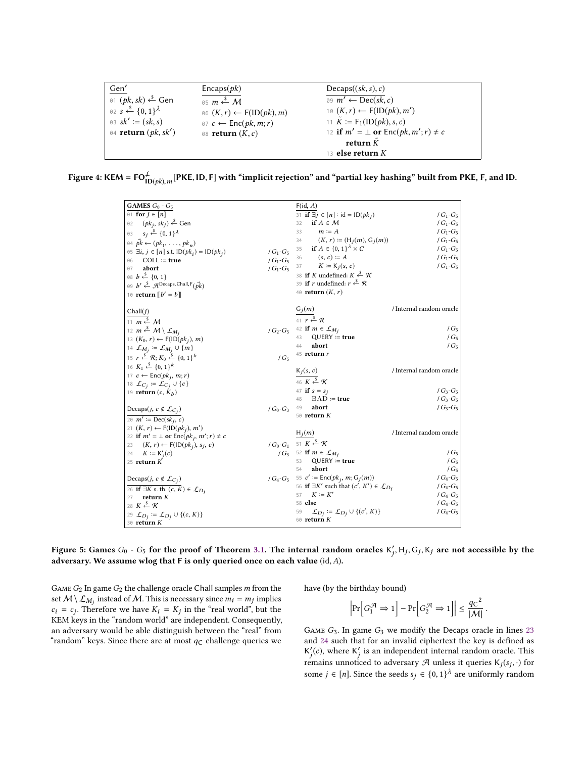<span id="page-6-0"></span>

| Gen'                                               | Encaps(pk)                                   | Decaps((sk, s), c)                            |
|----------------------------------------------------|----------------------------------------------|-----------------------------------------------|
| 01 ( <i>pk</i> , <i>sk</i> ) ← Gen                 | 05 $m \stackrel{\$}{\leftarrow} M$           | 09 $m' \leftarrow \text{Dec}(sk, c)$          |
| 02 $s \stackrel{\$}{\leftarrow} \{0,1\}^{\lambda}$ | $\delta \delta(K,r) \leftarrow F(ID(pk), m)$ | 10 $(K, r) \leftarrow F(ID(\rho k), m')$      |
| 03 $sk' := (sk, s)$                                | $\theta$ 7 c ← Enc(pk, m; r)                 | 11 $\tilde{K} := F_1(1D(pk), s, c)$           |
| 04 return $(pk, sk')$                              | 08 return $(K, c)$                           | 12 if $m' = \perp$ or $Enc(pk, m'; r) \neq c$ |
|                                                    |                                              | return $\tilde{K}$                            |
|                                                    |                                              | 13 <b>else return</b> $K$                     |
|                                                    |                                              |                                               |

<span id="page-6-2"></span>Figure 4: KEM = FO $_{\rm ur}^{\rm \perp}$  $\mu_{\mathbf{ID}(pk), m}^{\mathcal{L}}[\mathsf{PKE}, \mathsf{ID}, \mathsf{F}]$  with "implicit rejection" and "partial key hashing" built from PKE, F, and ID.

<span id="page-6-1"></span>

| <b>GAMES</b> $G_0$ - $G_5$                                                                    |                 | F(id, A)                                                                                                           |                          |
|-----------------------------------------------------------------------------------------------|-----------------|--------------------------------------------------------------------------------------------------------------------|--------------------------|
| 01 for $j \in [n]$                                                                            |                 | 31 if $\exists j \in [n]$ : id = ID( $pk_j$ )                                                                      | $/G_1-G_5$               |
| $(pk_j, sk_j) \stackrel{\$}{\leftarrow}$ Gen<br>02                                            |                 | if $A \in \mathcal{M}$<br>32                                                                                       | $/G_1-G_5$               |
| $s_j \xleftarrow{\$} \{0, 1\}^{\lambda}$<br>03                                                |                 | 33<br>$m \coloneq A$                                                                                               | $/G_1-G_5$               |
| 04 $pk \leftarrow (pk_1, \ldots, pk_n)$                                                       |                 | 34 $(K, r) := (H_i(m), G_i(m))$                                                                                    | $/G_1-G_5$               |
| 05 ∃ <i>i</i> , <i>j</i> ∈ [ <i>n</i> ] s.t. ID( $pki$ ) = ID( $pkj$ )                        | $/G_1-G_5$      | 35 if $A \in \{0, 1\}^{\lambda} \times C$                                                                          | $/G_1-G_5$               |
| $COLL \coloneqq \textbf{true}$<br>06                                                          | $/G_1-G_5$      | 36 $(s, c) := A$                                                                                                   | $/G_1-G_5$               |
| abort<br>07                                                                                   | $/G_1-G_5$      | 37 $K := K_j(s, c)$                                                                                                | $/G_1-G_5$               |
| 08 $b \stackrel{s}{\leftarrow} \{0, 1\}$                                                      |                 | 38 if K undefined: $K \stackrel{\$}{\leftarrow} \mathcal{K}$                                                       |                          |
| 09 $b' \stackrel{\$}{\leftarrow} \mathcal{A}$ Decaps, Chall, $F(\vec{pk})$                    |                 | 39 if r undefined: $r \stackrel{s}{\leftarrow} R$                                                                  |                          |
| 10 <b>return</b> $\llbracket b' = b \rrbracket$                                               |                 | 40 <b>return</b> $(K, r)$                                                                                          |                          |
|                                                                                               |                 |                                                                                                                    |                          |
| Chall(j)                                                                                      |                 |                                                                                                                    | / Internal random oracle |
| 11 $m \stackrel{\$}{\leftarrow} M$                                                            |                 | $\frac{G_j(m)}{41 r \stackrel{s}{\leftarrow} R}$                                                                   |                          |
| 12 $m \stackrel{\$}{\leftarrow} M \setminus \mathcal{L}_{M_j}$                                |                 | $/\,G_2\hbox{-} G_5\quad$ 42 if $m\in\mathcal{L}_{M_j}$                                                            | $/G_5$                   |
| 13 $(K_0, r) \leftarrow F(ID(pk_i), m)$                                                       |                 | $QUERY := true$<br>43                                                                                              | $/G_5$                   |
| 14 $\mathcal{L}_{M_j} \coloneqq \mathcal{L}_{M_j} \cup \{m\}$                                 |                 | abort<br>44                                                                                                        | $/G_5$                   |
| 15 $r \stackrel{\$}{\leftarrow} \mathcal{R}$ ; $K_0 \stackrel{\$}{\leftarrow} \{0, 1\}^k$     | $/G_5$          | $45$ return $r$                                                                                                    |                          |
|                                                                                               |                 |                                                                                                                    |                          |
|                                                                                               |                 |                                                                                                                    |                          |
| 16 $K_1 \xleftarrow{\$} \{0, 1\}^k$                                                           |                 |                                                                                                                    | / Internal random oracle |
| 17 $c \leftarrow \text{Enc}(pk_i, m; r)$                                                      |                 |                                                                                                                    |                          |
| 18 $\mathcal{L}_{C_i} \coloneqq \mathcal{L}_{C_i} \cup \{c\}$                                 |                 | $\frac{\mathsf{K}_j(s,\,c)}{^{46}\,\,K \stackrel{\$}{\leftarrow} \mathcal{K}}$<br>47 <b>if</b> $s = s_i$           | $/G_3-G_5$               |
| 19 <b>return</b> $(c, K_h)$                                                                   |                 | $BAD := true$<br>48                                                                                                | $/G_3-G_5$               |
|                                                                                               |                 | abort<br>49                                                                                                        | $/G_3-G_5$               |
| Decaps( <i>j</i> , $c \notin \mathcal{L}_{C_j}$ )                                             | / $G_0$ - $G_3$ | 50 return $K$                                                                                                      |                          |
| $20 \text{ m}' \coloneqq \text{Dec}(sk_i, c)$                                                 |                 |                                                                                                                    |                          |
| 21 $(K, r) \leftarrow F(ID(pk_i), m')$                                                        |                 | $H_i(m)$                                                                                                           | / Internal random oracle |
| 22 if $m' = \perp$ or $Enc(pk_i, m'; r) \neq c$                                               |                 |                                                                                                                    |                          |
| 23 $(K, r) \leftarrow F(ID(pki), sj, c)$<br>24                                                |                 | $/G_0-G_1$ 51 $K \xleftarrow{\$} \mathcal{K}$                                                                      | $/G_5$                   |
| $K \coloneqq K_i'(c)$<br>25 return $K$                                                        |                 | / $G_3$ 52 if $m \in \mathcal{L}_{M_i}$<br>$QUERY := true$<br>53                                                   | $/G_5$                   |
|                                                                                               |                 | abort<br>54                                                                                                        | $/G_5$                   |
|                                                                                               |                 |                                                                                                                    | $/G_4-G_5$               |
| Decaps( <i>j</i> , $c \notin \mathcal{L}_{C_i}$ )                                             |                 | $/G_4-G_5$ 55 $c' := \text{Enc}(pk_j, m; G_j(m))$<br>56 if $\exists K'$ such that $(c', K') \in \mathcal{L}_{D_i}$ | $/G_4-G_5$               |
| 26 if $\exists K$ s. th. $(c, K) \in \mathcal{L}_{D_i}$<br>return $K$<br>27                   |                 | $K := K'$<br>57                                                                                                    | $/G_4-G_5$               |
| 28 $K \xleftarrow{s} \mathcal{K}$                                                             |                 | 58 else                                                                                                            | $/G_4-G_5$               |
|                                                                                               |                 | $\mathcal{L}_{D_j} \coloneqq \mathcal{L}_{D_j} \cup \{(c', K)\}$<br>59                                             | $/G_4-G_5$               |
| 29 $\mathcal{L}_{D_j} := \mathcal{L}_{D_j} \cup \{(c, K)\}\$<br>30 $\bm{\mathsf{return}}$ $K$ |                 | 60 <b>return</b> K                                                                                                 |                          |

<span id="page-6-4"></span><span id="page-6-3"></span>Figure 5: Games  $G_0$  -  $G_5$  for the proof of Theorem [3.1.](#page-5-1) The internal random oracles  $K'_j$ ,  $H_j$ ,  $G_j$ ,  $K_j$  are not accessible by the j adversary. We assume wlog that <sup>F</sup> is only queried once on each value (id,A).

GAME  $G_2$  In game  $G_2$  the challenge oracle Chall samples m from the set  $M \setminus \mathcal{L}_{M_j}$  instead of M. This is necessary since  $m_i = m_j$  implies  $c_i = c_j$ . Therefore we have  $K_i = K_j$  in the "real world", but the KEM kavs in the "random world" are independent Consequently KEM keys in the "random world" are independent. Consequently, an adversary would be able distinguish between the "real" from "random" keys. Since there are at most  $q_C$  challenge queries we <span id="page-6-6"></span><span id="page-6-5"></span>have (by the birthday bound)

$$
\left|\Pr\left[G_1^{\mathcal{A}} \Rightarrow 1\right] - \Pr\left[G_2^{\mathcal{A}} \Rightarrow 1\right]\right| \le \frac{q\mathcal{C}^2}{|\mathcal{M}|}.
$$

GAME  $G_3$ . In game  $G_3$  we modify the Decaps oracle in lines [23](#page-6-3) and [24](#page-6-4) such that for an invalid ciphertext the key is defined as  $K'_j(c)$ , where  $K'_j$  is an independent internal random oracle. This remains unnoticed to adversary  $\mathcal{A}$  unless it queries  $K_j(s_j, \cdot)$  for some  $j \in [n]$ . Since the seeds  $s_j \in \{0,1\}^{\lambda}$  are uniformly random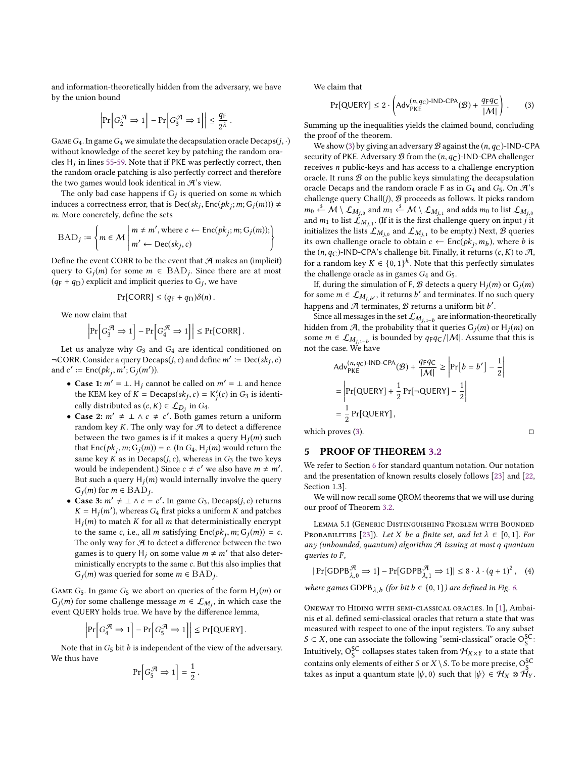and information-theoretically hidden from the adversary, we have by the union bound

$$
\left|\Pr\!\left[G_2^{\mathcal{A}} \Rightarrow 1\right] - \Pr\!\left[G_3^{\mathcal{A}} \Rightarrow 1\right]\right| \leq \frac{q_{\mathrm{F}}}{2^{\lambda}}\,.
$$

GAME  $G_4$ . In game  $G_4$  we simulate the decapsulation oracle Decaps( $j, \cdot$ ) without knowledge of the secret key by patching the random ora-cles H<sub>i</sub> in lines [55](#page-6-5)[-59.](#page-6-6) Note that if PKE was perfectly correct, then the random oracle patching is also perfectly correct and therefore the two games would look identical in  $\mathcal{A}$ 's view.

The only bad case happens if  $G_j$  is queried on some m which<br>huggs a correctness error that is  $\text{Dec}(sk, \text{Enc}(nk \cdot m; G_i(m))) \neq$ induces a correctness error, that is  $Dec(\hat{sk}_j, Enc(\hat{pk}_j; m; G_j(m))) \neq m$ . More concretely, define the sets m. More concretely, define the sets

$$
BAD_j := \left\{ m \in \mathcal{M} \mid m \neq m', \text{where } c \leftarrow \text{Enc}(pk_j; m; G_j(m)); \right\}
$$

Define the event CORR to be the event that  $A$  makes an (implicit) query to  $G_j(m)$  for some  $m \in \text{BAD}_j$ . Since there are at most  $(x-h, a_0)$  explicit and implicit queries to  $G_1$ , we have  $(q_F + q_D)$  explicit and implicit queries to  $G_j$ , we have

$$
\Pr[\text{CORR}] \le (q_{\text{F}} + q_{\text{D}})\delta(n).
$$

We now claim that

$$
\left|\Pr\left[G_3^{\mathcal{A}} \Rightarrow 1\right] - \Pr\left[G_4^{\mathcal{A}} \Rightarrow 1\right]\right| \le \Pr[\text{CORR}].
$$

Let us analyze why  $G_3$  and  $G_4$  are identical conditioned on  $\neg CORR. Consider a query Decaps(j, c) and define m' := Dec(sk_j, c)$ and  $c' \coloneqq \text{Enc}(pk_j, m'; G_j(m')).$ 

- Case 1:  $m' = \perp$ . H<sub>j</sub> cannot be called on  $m' = \perp$  and hence<br>the KEM key of K Decaps(sk, s) K'(s) in G<sub>2</sub> is identithe KEM key of  $K = \text{Decaps}(sk_j, c) = K'_j(c)$  in  $G_3$  is identi-<br>sally distributed as  $(a, K) \in \mathcal{L}$  in  $C$ j cally distributed as  $(c, K) \in \mathcal{L}_{D_j}$  in  $G_4$ .<br>Case 2:  $m' + \lambda$ ,  $c + c'$ . Both game
- Case 2:  $m' \neq \perp \wedge c \neq c'$ . Both games return a uniform<br>random key K. The only way for A to detect a difference random key K. The only way for  $\mathcal A$  to detect a difference between the two games is if it makes a query  $H_j(m)$  such that  $Enc(\mathbf{a} \cdot \mathbf{m} \cdot G_j(m)) = c_j(\ln G_j \cdot \mathbf{H} \cdot (m))$  would return the that  $Enc(pk_j, m; G_j(m)) = c$ . (In  $G_4$ ,  $H_j(m)$  would return the same key K as in Decaps(*j*, *c*), whereas in G<sub>3</sub> the two keys<br>would be independent) Since  $c + c'$  we also have  $m + m'$ would be independent.) Since  $c \neq c'$  we also have  $m \neq m'$ .<br>But such a quary  $H_1(m)$  would internally involve the quary. But such a query  $H_j(m)$  would internally involve the query  $G_1(m)$  for  $m \in \text{BAD}$ .  $G_j(m)$  for  $m \in \overline{BAD}_j$ .<br>Case 3:  $m' + \cdots$
- Case 3:  $m' \neq \bot \land c = c'$ . In game  $G_3$ , Decaps(*j, c*) returns  $K = H_1(m')$  whereas  $G_3$ , first picks a uniform  $K$  and patches  $K = H_j(m')$ , whereas  $G_4$  first picks a uniform K and patches  $H_j(m)$  to match K for all m that deterministically energy  $H_j(m)$  to match K for all m that deterministically encrypt<br>to the same c i.e. all m satisfying  $Enc(hk, m; G_i(m)) = c$ to the same c, i.e., all m satisfying  $Enc(pk_j, m; G_j(m)) = c$ .<br>The only way for  $\mathcal{A}$  to detect a difference between the two The only way for  $A$  to detect a difference between the two games is to query H<sub>j</sub> on some value  $m \neq m'$  that also deter-<br>ministically encrypts to the same c. But this also implies that ministically encrypts to the same c. But this also implies that  $G_j(m)$  was queried for some  $m \in \text{BAD}_j$ .

GAME  $G_5$ . In game  $G_5$  we abort on queries of the form  $H_j(m)$  or  $G_j(m)$  for some challenge message  $m \in \mathcal{L}_{M_j}$ , in which case the event OUEPY holds true. We have by the difference lamma event QUERY holds true. We have by the difference lemma,

$$
\left|\Pr\left[G_4^{\mathcal{A}} \Rightarrow 1\right] - \Pr\left[G_5^{\mathcal{A}} \Rightarrow 1\right]\right| \le \Pr\{\text{QUERV}\}\,.
$$

Note that in  $G_5$  bit  $b$  is independent of the view of the adversary. We thus have

$$
\Pr\left[G_5^{\mathcal{A}} \Rightarrow 1\right] = \frac{1}{2}
$$

We claim that

<span id="page-7-1"></span>
$$
\Pr[\text{QUERV}] \le 2 \cdot \left(\text{Adv}_{\text{PKE}}^{(n,q_C)\text{-IND-CPA}}(\mathcal{B}) + \frac{q_F q_C}{|\mathcal{M}|}\right). \tag{3}
$$

Summing up the inequalities yields the claimed bound, concluding the proof of the theorem.

We show [\(3\)](#page-7-1) by giving an adversary  $B$  against the  $(n, q<sub>C</sub>)$ -IND-CPA security of PKE. Adversary  $\mathcal{B}$  from the  $(n, q_C)$ -IND-CPA challenger receives n public-keys and has access to a challenge encryption oracle. It runs  $B$  on the public keys simulating the decapsulation oracle Decaps and the random oracle F as in  $G_4$  and  $G_5$ . On  $\mathcal{A}$ 's challenge query Chall(j),  $B$  proceeds as follows. It picks random  $m_0 \stackrel{\varepsilon}{\leftrightarrow} \mathcal{M} \setminus \mathcal{L}_{M_{j,0}}$  and  $m_1 \stackrel{\varepsilon}{\leftrightarrow} \mathcal{M} \setminus \mathcal{L}_{M_{j,1}}$  and adds  $m_0$  to list  $\mathcal{L}_{M_{j,0}}$ <br>and m<sub>1</sub> to list  $\mathcal{L}_{M_{j,0}}$  (If it is the first challenge query on input i.it and  $m_1$  to list  $\mathcal{L}_{M_{j,1}}($  (If it is the first challenge query on input j it initializes the lists  $\mathcal{L}_{M_{j,0}}$  and  $\mathcal{L}_{M_{j,1}}$  to be empty.) Next,  $\mathcal{B}$  queries its own challenge oracle to obtain  $c \leftarrow \text{Enc}(pk_j, m_b)$ , where *b* is<br>the  $(n, q_0)$ -IND-CPA's challenge bit. Finally, it returns  $(c, K)$  to  $\mathcal{A}$ the (n,qc)-IND-CPA's challenge bit. Finally, it returns  $(c, K)$  to  $\mathcal{A}_1$ ,<br>for a random leav  $K \subset \{0, 1\}^k$ . Note that this parfectly simulates for a random key  $K \in \{0,1\}^k$ . Note that this perfectly simulates the challenge oracle as in games  $G_k$  and  $G_r$ the challenge oracle as in games  $G_4$  and  $G_5$ .

If, during the simulation of F,  $B$  detects a query  $H_j(m)$  or  $G_j(m)$ for some  $m \in \mathcal{L}_{M_j,b'}$ , it returns b' and terminates. If no such query<br>benness and  $\mathcal{A}$  terminates.  $\mathcal{P}$  returns a uniform bit b' happens and  $\mathcal A$  terminates,  $\mathcal B$  returns a uniform bit  $b'$ .<br>Since all messages in the set  $f_{\lambda t}$  are information-

Since all messages in the set  $\mathcal{L}_{M_{j,1-b}}$  are information-theoretically<br>don from  $\mathcal{A}$ , the probability that it quories  $G_{\mathcal{A}}(m)$  or  $H_{\mathcal{A}}(m)$  on hidden from  $\mathcal{A}$ , the probability that it queries  $G_i(m)$  or  $H_i(m)$  on some  $m \in \mathcal{L}_{M_{j,1-b}}$  is bounded by  $q_Fq_C/|\mathcal{M}|$ . Assume that this is not the case We have not the case. We have

$$
Adv_{PKE}^{(n,q_C)-IND-CPA}(\mathcal{B}) + \frac{q_Fq_C}{|\mathcal{M}|} \ge \left| Pr[b = b'] - \frac{1}{2} \right|
$$
  
=  $\left| Pr[QUERY] + \frac{1}{2} Pr[\neg QUERY] - \frac{1}{2} \right|$   
=  $\frac{1}{2} Pr[QUERY],$ 

which proves [\(3\)](#page-7-1).  $\Box$ 

#### <span id="page-7-0"></span>5 PROOF OF THEOREM [3.2](#page-5-2)

We refer to Section [6](#page-13-7) for standard quantum notation. Our notation and the presentation of known results closely follows [\[23\]](#page-12-13) and [\[22,](#page-12-19) Section 1.3].

We will now recall some QROM theorems that we will use during our proof of Theorem [3.2.](#page-5-2)

<span id="page-7-2"></span>Lemma 5.1 (Generic Distinguishing Problem with Bounded PROBABILITIES [\[23\]](#page-12-13)). Let X be a finite set, and let  $\lambda \in [0,1]$ . For any (unbounded, quantum) algorithm <sup>A</sup> issuing at most q quantum queries to  $F$ ,

$$
|\Pr[\text{GDPB}_{\lambda,0}^{\mathcal{A}} \Rightarrow 1] - \Pr[\text{GDPB}_{\lambda,1}^{\mathcal{A}} \Rightarrow 1]| \leq 8 \cdot \lambda \cdot (q+1)^2, \quad (4)
$$

where games  $\text{GDPB}_{\lambda,b}$  (for bit  $b \in \{0,1\}$ ) are defined in Fig. [6.](#page-8-0)

Oneway to Hiding with semi-classical oracles. In [\[1\]](#page-12-20), Ambainis et al. defined semi-classical oracles that return a state that was measured with respect to one of the input registers. To any subset  $S \subset X$ , one can associate the following "semi-classical" oracle  $O_S^{SC}$ :<br>Intriductor  $S_S^{SC}$  is llowered that the form  $\mathcal{U}$  as the positive that Intuitively,  $O_5^{\text{SC}}$  collapses states taken from  $\mathcal{H}_{X \times Y}$  to a state that contains only elements of either S or  $X \setminus S$ . To be more precise,  $O_S^{\mathsf{SC}}$ <br>takes as input a quantum state  $|y| \Omega$  such that  $|y| \geq H_{\mathsf{CC}} \otimes H_{\mathsf{CC}}$ takes as input a quantum state  $|\psi, 0\rangle$  such that  $|\psi\rangle \in \mathcal{H}_X \otimes \mathcal{H}_Y$ .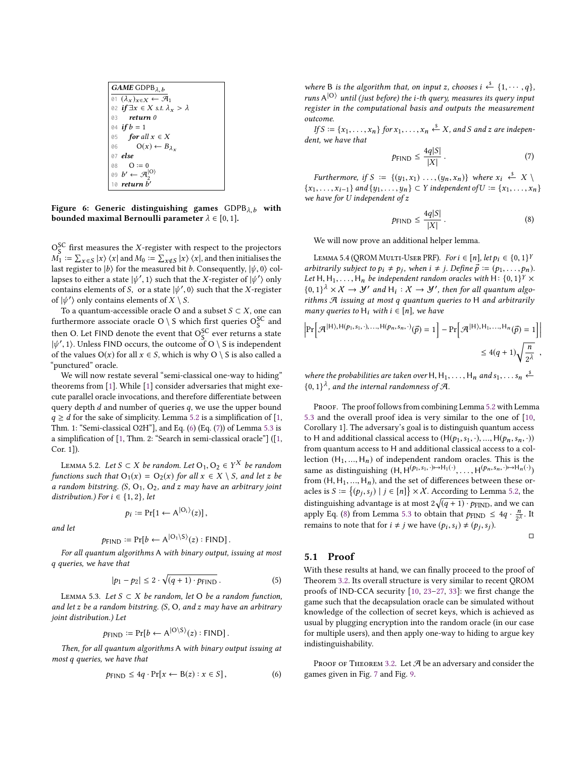<span id="page-8-0"></span>GAME GDPB<sub>λ, b</sub>  
\n
$$
\overbrace{01} \overbrace{(lambda_x)_{x \in X} \leftarrow \mathcal{A}_1}^{02} \overbrace{if \exists x \in X \text{ s.t. } \lambda_x > \lambda}^{return 0}
$$
\n
$$
\overbrace{03} \quad return 0
$$
\n
$$
\overbrace{04} \quad if b = 1
$$
\n
$$
\overbrace{05} \quad for all x \in X
$$
\n
$$
\overbrace{00} \quad \overbrace{0 \times (-B_{\lambda_x})}^{07} \overbrace{else}
$$
\n
$$
\overbrace{03} \quad \overbrace{0 := 0}^{0} \overbrace{0 \in (-B_{\lambda_x})}^{00} \overbrace{0 = 0}
$$
\n
$$
\overbrace{09} \quad \overbrace{b' \leftarrow \mathcal{A}_2}^{[O]}
$$
\n
$$
\overbrace{10} \quad return b'
$$

Figure 6: Generic distinguishing games  $GDPB_{\lambda,b}$  with bounded maximal Bernoulli parameter  $\lambda \in [0, 1]$ .

 $\mathcal{O}_S^{\mathsf{SC}}$  first measures the X-register with respect to the projectors  $M_1 := \sum_{n=1}^{\infty} |x| \sqrt{x}$  and  $M_2 := \sum_{n=1}^{\infty} |x| \sqrt{x}$  and then initializes the  $M_1' := \sum_{x \in S} |x\rangle \langle x|$  and  $M_0 := \sum_{x \notin S} |x\rangle \langle x|$ , and then initialises the  $M_1 := \sum_{x \in S} |x\rangle \langle x|$  and  $M_0 := \sum_{x \notin S} |x\rangle \langle x|$ , and then initialises the<br>last register to  $|b\rangle$  for the measured bit b. Consequently,  $|\psi, 0\rangle$  col-<br>lanses to either a state  $|\psi'|$  and that the X-register of  $|\psi'\rangle$  onl lapses to either a state  $|\psi', 1\rangle$  such that the X-register of  $|\psi'\rangle$  only<br>contains elements of S, or a state  $|\psi'\rangle$  () such that the X-register contains elements of S, or a state  $|\psi', 0\rangle$  such that the X-register of  $|\psi'\rangle$  only contains elements of X \ S of  $|\psi'\rangle$  only contains elements of  $X \setminus S$ .<br>To a quantum-accessible oracle O are

To a quantum-accessible oracle O and a subset  $S \subset X$ , one can furthermore associate oracle O \ S which first queries  $O_S^{SC}$  and then O. Let FIND denote the event that  $O_S^{SC}$  ever returns a state  $|\psi', 1\rangle$ . Unless FIND occurs, the outcome of  $O \setminus S$  is independent<br>of the values  $O(x)$  for all  $x \in S$ , which is why  $O \setminus S$  is also called a of the values  $O(x)$  for all  $x \in S$ , which is why  $O \setminus S$  is also called a "punctured" oracle.

We will now restate several "semi-classical one-way to hiding" theorems from [\[1\]](#page-12-20). While [\[1\]](#page-12-20) consider adversaries that might execute parallel oracle invocations, and therefore differentiate between query depth  $d$  and number of queries  $q$ , we use the upper bound  $q \ge d$  for the sake of simplicity. Lemma [5.2](#page-8-1) is a simplification of [\[1,](#page-12-20) Thm. 1: "Semi-classical O2H"], and Eq. [\(6\)](#page-8-2) (Eq. [\(7\)](#page-8-3)) of Lemma [5.3](#page-8-4) is a simplification of [\[1,](#page-12-20) Thm. 2: "Search in semi-classical oracle"] ([\[1,](#page-12-20) Cor. 1]).

<span id="page-8-1"></span>LEMMA 5.2. Let  $S \subset X$  be random. Let  $O_1, O_2 \in Y^X$  be random<br>actions such that  $O_1(x) = O_2(x)$  for all  $x \in X \setminus S$  and let z be functions such that  $O_1(x) = O_2(x)$  for all  $x \in X \setminus S$ , and let z be a random bitstring.  $(S, O_1, O_2, and z$  may have an arbitrary joint distribution.) For  $i \in \{1, 2\}$ , let

$$
p_i \coloneqq \Pr[1 \leftarrow A^{|O_i\rangle}(z)],
$$

and let

$$
p_{\text{FIND}} := \Pr[b \leftarrow A^{|O_1 \setminus S\rangle}(z) : \text{FIND}].
$$

 $p_{\text{FIND}} \coloneqq \Pr[b \leftarrow A^{|\text{O}_1 \setminus \text{S}\rangle}(z) : \text{FIND}].$  For all quantum algorithms A with binary output, issuing at most q queries, we have that

$$
|p_1 - p_2| \le 2 \cdot \sqrt{(q+1) \cdot p_{\text{FIND}}}\,. \tag{5}
$$

<span id="page-8-4"></span>LEMMA 5.3. Let  $S \subset X$  be random, let O be a random function, and let z be a random bitstring.  $(S, O, and z \text{ may have an arbitrary})$ joint distribution.) Let

$$
p_{\text{FIND}} := \Pr[b \leftarrow A^{|O \setminus S\rangle}(z) : \text{FIND}].
$$

Then, for all quantum algorithms A with binary output issuing at most q queries, we have that

<span id="page-8-2"></span>
$$
p_{\text{FIND}} \le 4q \cdot \Pr[x \leftarrow B(z) : x \in S],\tag{6}
$$

where B is the algorithm that, on input z, chooses  $i \stackrel{\delta}{\leftarrow} \{1, \dots, q\}$ ,<br>runs  $\Delta |0\rangle$  until (just before) the *i* th *guary* measures its *guary* input runs  $A|O$  until (just before) the *i*-th query, measures its query input<br>register in the computational basis and outputs the measurement register in the computational basis and outputs the measurement outcome.

If  $S := \{x_1, \ldots, x_n\}$  for  $x_1, \ldots, x_n \stackrel{s}{\leftarrow} X$ , and S and z are indepention to the have that dent, we have that

<span id="page-8-3"></span>
$$
p_{\text{FIND}} \le \frac{4q|S|}{|X|} \,. \tag{7}
$$

Furthermore, if  $S := \{(y_1, x_1) \dots, (y_n, x_n)\}$  where  $x_i \xrightarrow{\xi} X \setminus \dots$ { $x_1, ..., x_{i-1}$ } and { $y_1, ..., y_n$ } ⊂ Y independent of  $U := \{x_1, ..., x_n\}$ we have for U independent of z

<span id="page-8-5"></span>
$$
P\text{FIND} \leq \frac{4q|S|}{|X|} \,. \tag{8}
$$

We will now prove an additional helper lemma.

<span id="page-8-6"></span>LEMMA 5.4 (QROM MULTI-USER PRF). For  $i \in [n]$ , let  $p_i \in \{0, 1\}^k$ <br>hitrarily subject to  $p_i \neq p_j$ , when  $i \neq j$ . Define  $\vec{p} := (p_i, p_j)$ arbitrarily subject to  $p_i \neq p_j$ , when  $i \neq j$ . Define  $\vec{p} := (p_1, \ldots, p_n)$ .<br>Let H H, H, he independent random orgales with H; f(1,1)  $\times$ Let H, H<sub>1</sub>, ..., H<sub>n</sub> be independent random oracles with H: {0, 1}<sup>Y</sup>  $\times$  {0, 1}<sup>Y</sup>  $\times$  {0, 1}<sup>Y</sup>  $\times$  *Y*  $\cdot$  > *Y'* and H<sub>1</sub>: *Y*  $\cdot$  > *Y'* than for all quantum also  ${0,1}^{\lambda} \times X \to Y'$  and  $H_i : X \to Y'$ , then for all quantum algorithms  $\mathcal{A}$  issuing at most a quantum quaries to H and arbitrarily rithms <sup>A</sup> issuing at most q quantum queries to <sup>H</sup> and arbitrarily many queries to  $H_i$  with  $i \in [n]$ , we have

$$
\left| \Pr \left[ \mathcal{A}^{|H\rangle, H(p_1, s_1, \cdot), \dots, H(p_n, s_n, \cdot)}(\vec{p}) = 1 \right] - \Pr \left[ \mathcal{A}^{|H\rangle, H_1, \dots, H_n}(\vec{p}) = 1 \right] \right|
$$
  
\$\leq 4(q+1)\sqrt{\frac{n}{2^{\lambda}}},

where the probabilities are taken over H,  $H_1, \ldots, H_n$  and  $s_1, \ldots s_n \stackrel{s}{\leftarrow}$ <br> $\{0, 1\}^{\lambda}$  and the internal randomness of  $\mathcal{A}$  $\{0,1\}^{\lambda}$ , and the internal randomness of A.

PROOF. The proof follows from combining Lemma [5.2](#page-8-1) with Lemma [5.3](#page-8-4) and the overall proof idea is very similar to the one of [\[10,](#page-12-12) Corollary 1]. The adversary's goal is to distinguish quantum access to H and additional classical access to  $(H(p_1, s_1, \cdot), ..., H(p_n, s_n, \cdot))$ from quantum access to H and additional classical access to a collection  $(H_1, ..., H_n)$  of independent random oracles. This is the same as distinguishing  $(H, H(p_1, s_1, \cdot) \rightarrow H_1(\cdot), \dots, H(p_n, s_n, \cdot) \rightarrow H_n(\cdot))$ <br>from  $(H, H, H)$  and the set of differences between these or from  $(H, H_1, ..., H_n)$ , and the set of differences between these oracles is  $S := \{(p_j, s_j) \mid j \in [n]\} \times X$ . According to Lemma [5.2,](#page-8-1) the distinguishing advantage is at most  $2\sqrt{(q+1)\cdot p_{\text{FIND}}}$ , and we can<br>apply Eq. (8) from Lemma 5.3 to obtain that  $p_{\text{FIND}} \leq 4a \cdot \frac{n}{L}$  It apply Eq. [\(8\)](#page-8-5) from Lemma [5.3](#page-8-4) to obtain that  $p_{\text{FIND}} \le 4q \cdot \frac{n}{2\lambda}$ . It remains to note that for  $i \neq j$  we have  $(p_i, s_i) \neq (p_j, s_j)$ .

 $\Box$ 

#### 5.1 Proof

With these results at hand, we can finally proceed to the proof of Theorem [3.2.](#page-5-2) Its overall structure is very similar to recent QROM proofs of IND-CCA security [\[10,](#page-12-12) [23](#page-12-13)[–27,](#page-13-8) [33\]](#page-13-9): we first change the game such that the decapsulation oracle can be simulated without knowledge of the collection of secret keys, which is achieved as usual by plugging encryption into the random oracle (in our case for multiple users), and then apply one-way to hiding to argue key indistinguishability.

PROOF OF THEOREM [3.2.](#page-5-2) Let  $\mathcal A$  be an adversary and consider the games given in Fig. [7](#page-9-0) and Fig. [9.](#page-11-0)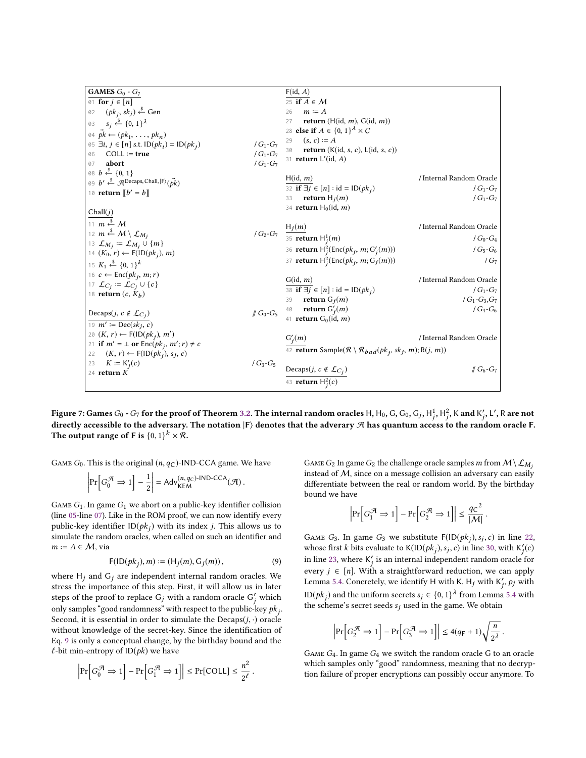<span id="page-9-5"></span><span id="page-9-2"></span><span id="page-9-1"></span><span id="page-9-0"></span>

| <b>GAMES</b> $G_0$ - $G_7$                                                                   |                                   | F(id, A)                                                                                    |                          |
|----------------------------------------------------------------------------------------------|-----------------------------------|---------------------------------------------------------------------------------------------|--------------------------|
| 01 for $j \in [n]$                                                                           |                                   | 25 if $A \in M$                                                                             |                          |
| 02 $(pk_i, sk_j) \stackrel{\$}{\leftarrow}$ Gen                                              |                                   | $m \coloneq A$<br>26                                                                        |                          |
| 03 $s_j \xleftarrow{\$} \{0, 1\}^{\lambda}$                                                  |                                   | return ( $H(id, m)$ , $G(id, m)$ )<br>27                                                    |                          |
| 04 $\vec{pk} \leftarrow (pk_1, \ldots, pk_n)$                                                |                                   | 28 else if $A \in \{0, 1\}^{\lambda} \times C$                                              |                          |
| 05 $\exists i, j \in [n]$ s.t. $ID(pk_i) = ID(pk_i)$                                         | / $G_1$ - $G_7$                   | $(s, c) \coloneq A$<br>29                                                                   |                          |
| $COLL := true$<br>06                                                                         | / $G_1$ - $G_7$                   | 30 <b>return</b> $(K(id, s, c), L(id, s, c))$                                               |                          |
| abort<br>07                                                                                  | $/G_1 - G_7$                      | 31 <b>return</b> $L'(id, A)$                                                                |                          |
| 08 $b \stackrel{\$}{\leftarrow} \{0, 1\}$                                                    |                                   |                                                                                             |                          |
| 09 $b' \stackrel{\$}{\leftarrow} \mathcal{A}^{\text{Decaps},\text{Chall},\ket{F}}(\vec{pk})$ |                                   | H(id, m)                                                                                    | / Internal Random Oracle |
| 10 <b>return</b> $\llbracket b' = b \rrbracket$                                              |                                   | 32 if $\exists j \in [n] : id = ID(pk_i)$                                                   | / $G_1$ - $G_7$          |
|                                                                                              |                                   | return $H_i(m)$<br>33                                                                       | / $G_1$ - $G_7$          |
| Chall(j)                                                                                     |                                   | 34 return $H_0(id, m)$                                                                      |                          |
| 11 $m \stackrel{\$}{\leftarrow} M$                                                           |                                   |                                                                                             | / Internal Random Oracle |
| 12 $m \stackrel{\$}{\leftarrow} M \setminus \mathcal{L}_{M_i}$                               |                                   | $/G_2-G_7$ $\frac{H_j(m)}{35}$ return $H^1_j(m)$                                            |                          |
| 13 $\mathcal{L}_{M_j} \coloneqq \mathcal{L}_{M_j} \cup \{m\}$                                |                                   |                                                                                             | / $G_0$ - $G_4$          |
| 14 $(K_0, r) \leftarrow F(\text{ID}(pk_i), m)$                                               |                                   | 36 <b>return</b> $H_i^2(\text{Enc}(pk_i, m; G'_i(m)))$                                      | $/G_5-G_6$               |
| 15 $K_1 \xleftarrow{s} \{0, 1\}^k$                                                           |                                   | 37 <b>return</b> $H_j^2(\text{Enc}(pk_j, m; G_j(m)))$                                       | $/G_7$                   |
| 16 $c \leftarrow \text{Enc}(pk_i, m; r)$                                                     |                                   |                                                                                             |                          |
| 17 $\mathcal{L}_{C_i} \coloneqq \mathcal{L}_{C_i} \cup \{c\}$                                |                                   | G(id, m)                                                                                    | / Internal Random Oracle |
| 18 <b>return</b> $(c, K_b)$                                                                  |                                   | 38 if $\exists j \in [n] : id = ID(pk_i)$                                                   | / $G_1$ - $G_7$          |
|                                                                                              |                                   | return $G_i(m)$<br>39                                                                       | $/G_1-G_3,G_7$           |
| Decaps( <i>j</i> , $c \notin \mathcal{L}_{C_j}$ )                                            | $\mathscr{J} G_0$ -G <sub>5</sub> | 40 <b>return</b> $G'_i(m)$                                                                  | $/G_4-G_6$               |
| 19 $m' \coloneqq \text{Dec}(sk_i, c)$                                                        |                                   | 41 <b>return</b> $G_0(id, m)$                                                               |                          |
| 20 $(K, r) \leftarrow F(ID(pk_i), m')$                                                       |                                   |                                                                                             |                          |
| 21 if $m' = \perp$ or $Enc(pk_j, m'; r) \neq c$                                              |                                   | $G'_i(m)$                                                                                   | / Internal Random Oracle |
| $(K, r) \leftarrow F(\text{ID}(pk_j), s_j, c)$<br>22                                         |                                   | 42 <b>return</b> Sample( $\mathcal{R} \setminus \mathcal{R}_{bad}(pk_j, sk_j, m); R(j, m))$ |                          |
| 23 $K := K'_{i}(c)$                                                                          | $/G_3-G_5$                        |                                                                                             |                          |
| 24 return $K$                                                                                |                                   | Decaps( <i>j</i> , $c \notin \mathcal{L}_{C_j}$ )                                           | $\parallel G_6 - G_7$    |
|                                                                                              |                                   | 43 <b>return</b> $H_i^2(c)$                                                                 |                          |
|                                                                                              |                                   |                                                                                             |                          |

<span id="page-9-6"></span><span id="page-9-4"></span>Figure 7: Games  $G_0$  -  $G_7$  for the proof of Theorem [3.2.](#page-5-2) The internal random oracles H, H<sub>0</sub>, G, G<sub>0</sub>, G<sub>j</sub>, H<sub>1</sub><sup>3</sup>, H<sub>1</sub><sup>2</sup>, K and K'<sub>1</sub>, L', R are not the proof of Theorem 3.2. The internal random oracles H, H<sub>0</sub>, G directly accessible to the adversary. The notation  $\ket{\mathsf{F}}$  denotes that the adverary  $\mathcal A$  has quantum access to the random oracle F. The output range of F is  $\{0,1\}^k \times \mathcal{R}$ .

GAME  $G_0$ . This is the original  $(n, q_C)$ -IND-CCA game. We have

$$
\left|\Pr\left[G_0^{\mathcal{A}} \Rightarrow 1\right] - \frac{1}{2}\right| = \mathsf{Adv}_{\mathsf{KEM}}^{(n,q_C)\text{-IND-CCA}}(\mathcal{A}).
$$

GAME  $G_1$ . In game  $G_1$  we abort on a public-key identifier collision (line [05-](#page-9-1)line [07\)](#page-9-2). Like in the ROM proof, we can now identify every public-key identifier  $ID(pk_j)$  with its index j. This allows us to simulate the random crosles when called on such an identifier and -<br>simulate the random oracles, when called on such an identifier and  $m := A \in \mathcal{M}$ , via

<span id="page-9-3"></span>
$$
F(ID(pk_j), m) := (H_j(m), G_j(m)),
$$
\n(9)

where  $H_j$  and  $G_j$  are independent internal random oracles. We stress the importance of this stap. First, it will allow us in later stress the importance of this step. First, it will allow us in later steps of the proof to replace  $G_j$  with a random oracle  $G'_j$  which<br>only samples "good randomness" with respect to the public-key *nk* only samples "good randomness" with respect to the public-key  $pk_j$ . Second, it is essential in order to simulate the Decaps $(j, \cdot)$  oracle<br>without knowledge of the secret-key. Since the identification of without knowledge of the secret-key. Since the identification of Eq. [9](#page-9-3) is only a conceptual change, by the birthday bound and the  $\ell$ -bit min-entropy of  $ID(pk)$  we have

$$
\left|\Pr\Big[G_0^{\mathcal{A}} \Rightarrow 1\Big]-\Pr\Big[G_1^{\mathcal{A}} \Rightarrow 1\Big]\right| \leq \Pr[\text{COLL}] \leq \frac{n^2}{2^\ell}\,.
$$

<span id="page-9-12"></span><span id="page-9-11"></span><span id="page-9-10"></span><span id="page-9-9"></span><span id="page-9-8"></span><span id="page-9-7"></span>GAME  $G_2$  In game  $G_2$  the challenge oracle samples m from  $M \setminus L_{M_i}$ instead of  $M$ , since on a message collision an adversary can easily differentiate between the real or random world. By the birthday bound we have

$$
\left|\Pr\Bigl[G_1^{\mathcal{A}} \Rightarrow 1\Bigr]-\Pr\Bigl[G_2^{\mathcal{A}} \Rightarrow 1\Bigr]\right|\leq \frac{q\texttt{C}^2}{|\mathcal{M}|}
$$

GAME G3. In game G<sub>3</sub> we substitute  $F(ID(pk_j), s_j, c)$  in line [22,](#page-9-4)<br>whose first k bits evaluate to  $K(ID(nk) , s, c)$  in line 30, with  $K'(c)$ whose first k bits evaluate to  $K(ID(pk_j), s_j, c)$  in line [30,](#page-9-5) with  $K'_j(c)$ <br>in line 23, where K' is an internal independent random aracle for j in line [23,](#page-9-6) where K ′ is an internal independent random oracle for every *j* ∈ [*n*]. With a straightforward reduction, we can apply  $I$  amma 5.4. Concretely we identify H with K, H, with K, a, with Lemma [5.4.](#page-8-6) Concretely, we identify H with K, H<sub>j</sub> with K'<sub>j</sub>,  $p_j$  with  $\text{ID}(pk_j)$  and the uniform secrets  $s_j \in \{0, 1\}^{\lambda}$  from Lemma [5.4](#page-8-6) with the scheme's secret seeds surved in the same We obtain the scheme's secret seeds  $s_j$  used in the game. We obtain

$$
\left|\Pr\left[G_2^{\mathcal{A}} \Rightarrow 1\right] - \Pr\left[G_3^{\mathcal{A}} \Rightarrow 1\right]\right| \le 4(q_F + 1)\sqrt{\frac{n}{2^{\lambda}}}.
$$

GAME  $G_4$ . In game  $G_4$  we switch the random oracle G to an oracle which samples only "good" randomness, meaning that no decryption failure of proper encryptions can possibly occur anymore. To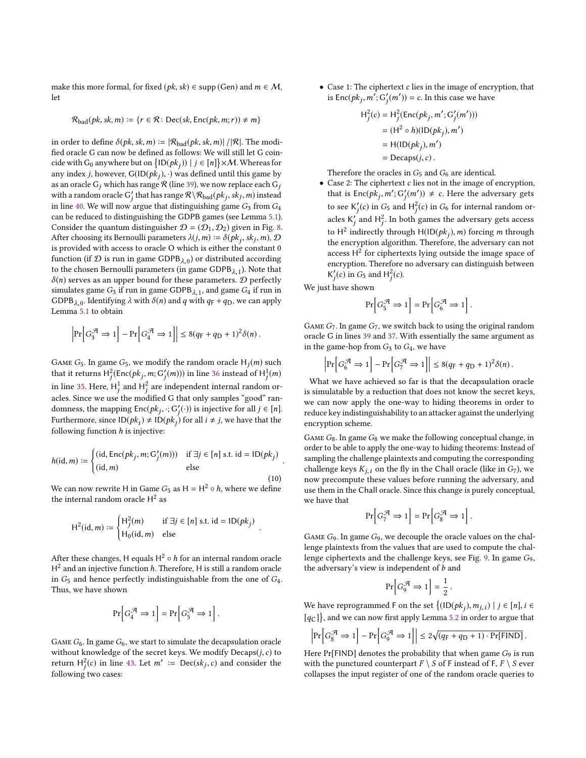make this more formal, for fixed (*pk*, *sk*) ∈ supp (Gen) and  $m \in M$ , let

$$
\mathcal{R}_{bad}(pk, sk, m) := \{r \in \mathcal{R} \colon \text{Dec}(sk, \text{Enc}(pk, m; r)) \neq m\}
$$

in order to define  $\delta(pk, sk, m) := |\mathcal{R}_{bad}(pk, sk, m)| / |\mathcal{R}|$ . The modified oracle G can now be defined as follows: We will still let G coincide with G<sub>0</sub> anywhere but on  $\{1D(pk_j)\mid j \in [n]\}\times M$ . Whereas for any index *j*, however,  $G(ID(\hat{pk}_j), \cdot)$  was defined until this game by<br>as an oracle G which has range  $R$  (line 39), we now replace each G. as an oracle G<sub>j</sub> which has range R (line [39\)](#page-9-7), we now replace each  $G_j$ <br>with a random grade G' that has range  $\mathcal{P} \setminus \mathcal{P}_{t-1}(p_{t-1}, k_1, m)$  instead with a random oracle  $G'_j$  that has range  $R\backslash R_{bad}(pk_j, sk_j, m)$  instead<br>in line 40. We will now excus that distinguishing game C, from C. in line [40.](#page-9-8) We will now argue that distinguishing game  $G_3$  from  $G_4$ <br>can be reduced to distinguishing the GDPB games (see Lemma 5.1) can be reduced to distinguishing the GDPB games (see Lemma [5.1\)](#page-7-2). Consider the quantum distinguisher  $\mathcal{D} = (\mathcal{D}_1, \mathcal{D}_2)$  given in Fig. [8.](#page-11-1) After choosing its Bernoulli parameters  $\lambda(j, m) := \delta(pk_j, sk_j, m)$ ,  $\mathcal{D}$ <br>is provided with access to oracle O which is either the constant 0 is provided with access to oracle O which is either the constant 0 function (if  $\mathcal D$  is run in game GDPB<sub> $\lambda$ ,0</sub>) or distributed according<br>to the chosen Bernoulli parameters (in game GDPB, ...) Note that to the chosen Bernoulli parameters (in game GDPB $\lambda$ <sub>1</sub>). Note that  $\delta(n)$  serves as an upper bound for these parameters  $n$  perfectly  $\delta(n)$  serves as an upper bound for these parameters.  $D$  perfectly simulates game  $G_3$  if run in game GDPB<sub> $\lambda$ , 1</sub>, and game  $G_4$  if run in<br>GDPB<sub>1.6</sub> Identifying  $\lambda$  with  $\delta(n)$  and *a* with  $g_5 + g_5$ , we can apply GDPB<sub> $\lambda$ ,0</sub>. Identifying  $\lambda$  with  $\delta(n)$  and q with  $q_F + q_D$ , we can apply I emma 5.1 to obtain Lemma [5.1](#page-7-2) to obtain

$$
\left|\Pr\left[G_3^{\mathcal{A}} \Rightarrow 1\right] - \Pr\left[G_4^{\mathcal{A}} \Rightarrow 1\right]\right| \le 8(q_F + q_D + 1)^2 \delta(n).
$$

GAME G<sub>5</sub>. In game G<sub>5</sub>, we modify the random oracle H<sub>j</sub>(m) such that it returns  $H_j^2(\text{Enc}(pk_j, m; G'_j(m)))$  in line [36](#page-9-9) instead of  $H_j^1(m)$ in line [35.](#page-9-10) Here,  $H^1$  and  $H^2$  are independent internal random oracles. Since we use the modified G that only samples "good" randomness, the mapping  $Enc(pk_j, \cdot; G'_j(\cdot))$  is injective for all  $j \in [n]$ .<br>Eurthermore, since  $D(nk) \neq D(nk)$  for all  $i \neq i$  we have that the Furthermore, since  $\text{ID}(pk_i) \neq \text{ID}(pk_j)$  for all  $i \neq j$ , we have that the following function *k* is injective. following function  $h$  is injective: j

$$
h(\mathrm{id}, m) := \begin{cases} (\mathrm{id}, \mathrm{Enc}(pk_j, m; G'_j(m))) & \text{if } \exists j \in [n] \text{ s.t. } \mathrm{id} = \mathrm{ID}(pk_j) \\ (\mathrm{id}, m) & \text{else} \end{cases}
$$
(10)

We can now rewrite H in Game  $G_5$  as H = H<sup>2</sup> ∘ h, where we define the internal random oracle  $\mathsf{H}^2$  as

$$
H^{2}(id, m) := \begin{cases} H_{j}^{2}(m) & \text{if } \exists j \in [n] \text{ s.t. } id = ID(pk_{j}) \\ H_{0}(id, m) & \text{else} \end{cases}
$$

After these changes, H equals  $H^2 \circ h$  for an internal random oracle  $H^2$  and an injective function h. Therefore H is still a random oracle  $H^2$  and an injective function h. Therefore, H is still a random oracle<br>in  $G_5$  and hance perfectly indistinguishable from the one of  $G_6$ in  $G_5$  and hence perfectly indistinguishable from the one of  $G_4$ . Thus, we have shown

$$
\Pr\left[G_4^{\mathcal{A}} \Rightarrow 1\right] = \Pr\left[G_5^{\mathcal{A}} \Rightarrow 1\right].
$$

GAME  $G_6$ . In game  $G_6$ , we start to simulate the decapsulation oracle without knowledge of the secret keys. We modify  $Decaps(j, c)$  to return  $H_j^2(c)$  in line [43.](#page-9-11) Let  $m' := \text{Dec}(sk_j, c)$  and consider the following two assess j following two cases:

• Case 1: The ciphertext  $c$  lies in the image of encryption, that is  $Enc(pk_j, m^T; G'_j(m')) = c$ . In this case we have

$$
H_j^2(c) = H_j^2(\text{Enc}(pk_j, m'; G'_j(m')))
$$
  
= (H<sup>2</sup> ◦ h)(ID(pk\_j), m')  
= H(ID(pk\_j), m')  
= Decaps(j, c).

Therefore the oracles in  $G_5$  and  $G_6$  are identical.

• Case 2: The ciphertext c lies not in the image of encryption, that is  $Enc(pk_j, m'; G'_j(m')) \neq c$ . Here the adversary gets to see K'<sub>j</sub>(c) in  $G_5$  and H<sup>2</sup><sub>j</sub>(c) in  $G_6$  for internal random oracles K' and  $H^2$ . In both games the adversary gets access to  $H^2$  indirectly through  $H(ID(pk_j),m)$  forcing m through<br>the encryption algorithm. Therefore, the adversary can not the encryption algorithm. Therefore, the adversary can not access  $H^2$  for ciphertexts lying outside the image space of encryption. Therefore no adversary can distinguish between  $K'_j(c)$  in  $G_5$  and  $H_j^2(c)$ .

j We just have shown

$$
\Pr\left[G_5^{\mathcal{A}} \Rightarrow 1\right] = \Pr\left[G_6^{\mathcal{A}} \Rightarrow 1\right].
$$

j

GAME  $G_7$ . In game  $G_7$ , we switch back to using the original random oracle G in lines [39](#page-9-7) and [37.](#page-9-12) With essentially the same argument as in the game-hop from  $G_3$  to  $G_4$ , we have

$$
\left|\Pr\left[G^{\mathcal{A}}_{6} \Rightarrow 1\right] - \Pr\left[G^{\mathcal{A}}_{7} \Rightarrow 1\right]\right| \leq 8(q_{\text{F}} + q_{\text{D}} + 1)^2 \delta(n).
$$

What we have achieved so far is that the decapsulation oracle is simulatable by a reduction that does not know the secret keys, we can now apply the one-way to hiding theorems in order to reduce key indistinguishability to an attacker against the underlying encryption scheme.

GAME  $G_8$ . In game  $G_8$  we make the following conceptual change, in order to be able to apply the one-way to hiding theorems: Instead of sampling the challenge plaintexts and computing the corresponding challenge keys  $K_{j,i}$  on the fly in the Chall oracle (like in  $G_7$ ), we now precompute these values before running the adversary, and use them in the Chall oracle. Since this change is purely conceptual, we have that

$$
\Pr\left[G_7^{\mathcal{A}} \Rightarrow 1\right] = \Pr\left[G_8^{\mathcal{A}} \Rightarrow 1\right].
$$

Game G9. In game G9, we decouple the oracle values on the challenge plaintexts from the values that are used to compute the challenge ciphertexts and the challenge keys, see Fig. [9.](#page-11-0) In game G9, the adversary's view is independent of  $b$  and

$$
\Pr\Big[G_9^{\mathcal{A}} \Rightarrow 1\Big] = \frac{1}{2} \, .
$$

We have reprogrammed F on the set  $\{(\text{ID}(pk_j),m_{j,i}) \mid j \in [n], i \in [n]\}$  $\left[ q_{\text{C}}\right] \},$  and we can now first apply Lemma [5.2](#page-8-1) in order to argue that

$$
\left|\Pr\left[G_8^{\mathcal{A}} \Rightarrow 1\right] - \Pr\left[G_9^{\mathcal{A}} \Rightarrow 1\right]\right| \le 2\sqrt{(q_F + q_D + 1) \cdot \Pr[\text{FIND}]}.
$$

Here  $Pr[FIND]$  denotes the probability that when game  $G_9$  is run with the punctured counterpart  $F \setminus S$  of F instead of F,  $F \setminus S$  ever collapses the input register of one of the random oracle queries to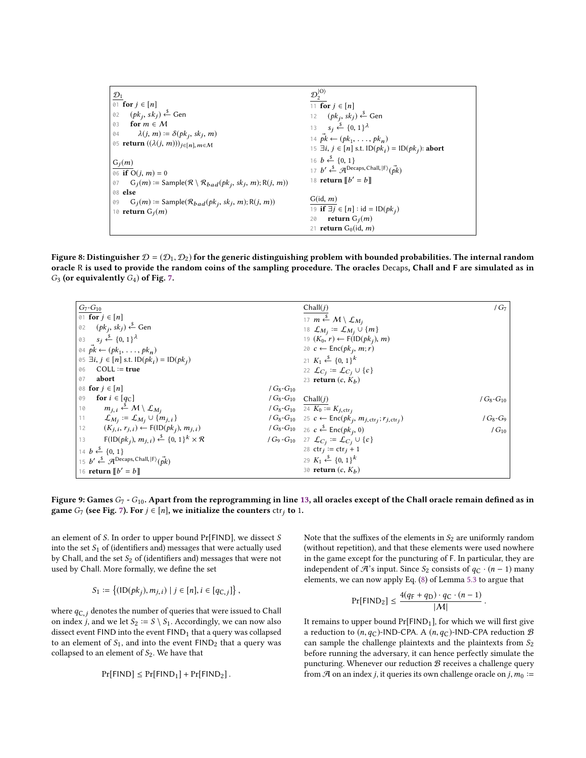<span id="page-11-1"></span>

| $\mathcal{D}_1$                                                                               | $\mathcal{D}_2^{ \mathsf{O}\rangle}$                                                           |
|-----------------------------------------------------------------------------------------------|------------------------------------------------------------------------------------------------|
| $\emptyset$ 1 for $j \in [n]$                                                                 | 11 for $j \in [n]$                                                                             |
| $(pk_i, sk_j) \stackrel{\$}{\leftarrow}$ Gen<br>02                                            | 12 $(pk_j, sk_j) \stackrel{\$}{\leftarrow}$ Gen                                                |
| for $m \in M$<br>03                                                                           | 13 $s_j \xleftarrow{\$} \{0, 1\}^{\lambda}$                                                    |
| $\lambda(j, m) \coloneqq \delta(pk_j, sk_j, m)$<br>04                                         | 14 $\vec{pk} \leftarrow (pk_1, \ldots, pk_n)$                                                  |
| 05 <b>return</b> $((\lambda(j, m)))_{i \in [n], m \in \mathcal{M}}$                           | 15 $\exists i, j \in [n]$ s.t. $ID(pk_i) = ID(pk_i)$ : abort                                   |
| $G_i(m)$                                                                                      | 16 $b \stackrel{s}{\leftarrow} \{0, 1\}$                                                       |
| 06 if $O(i, m) = 0$                                                                           | 17 $b' \stackrel{\$}{\leftarrow} \mathcal{A}^{\text{Decaps}, \text{Chall}, \ket{F}}(\vec{pk})$ |
| $G_i(m) :=$ Sample( $\mathcal{R} \setminus \mathcal{R}_{bad}(pk_i, sk_i, m)$ ; R(j, m))<br>07 | 18 <b>return</b> $\llbracket b' = b \rrbracket$                                                |
| 08 else                                                                                       |                                                                                                |
| $G_i(m)$ := Sample( $\mathcal{R}_{bad}(pk_i, sk_i, m)$ ; R(j, m))<br>09                       | G(id, m)                                                                                       |
| 10 <b>return</b> $G_i(m)$                                                                     | 19 if $\exists j \in [n]$ : id = $ID(pk_i)$                                                    |
|                                                                                               | return $G_i(m)$<br>20                                                                          |
|                                                                                               | 21 <b>return</b> $G_0(id, m)$                                                                  |

Figure 8: Distinguisher  $\mathcal{D} = (\mathcal{D}_1, \mathcal{D}_2)$  for the generic distinguishing problem with bounded probabilities. The internal random oracle R is used to provide the random coins of the sampling procedure. The oracles Decaps, Chall and F are simulated as in  $G_3$  (or equivalently  $G_4$ ) of Fig. [7.](#page-9-0)

<span id="page-11-0"></span>

| $G_7 - G_{10}$                                                                                                                                                                       | $/G_7$<br>Chall(j)                                                                                     |
|--------------------------------------------------------------------------------------------------------------------------------------------------------------------------------------|--------------------------------------------------------------------------------------------------------|
| $\boxed{\odot 1 \text{ for } j \in [n]}$                                                                                                                                             | 17 $m \stackrel{\$}{\leftarrow} M \setminus \mathcal{L}_{M_i}$                                         |
| 02 ( <i>pk<sub>i</sub></i> , <i>sk<sub>j</sub></i> ) ← Gen                                                                                                                           | 18 $\mathcal{L}_{M_i} \coloneqq \mathcal{L}_{M_i} \cup \{m\}$                                          |
| 03 $s_i \xleftarrow{\$} \{0, 1\}^{\lambda}$                                                                                                                                          | 19 $(K_0, r) \leftarrow F(ID(pk_i), m)$                                                                |
| $\phi$ $\vec{pk} \leftarrow (pk_1, \ldots, pk_n)$                                                                                                                                    | 20 $c \leftarrow \text{Enc}(pk_i, m; r)$                                                               |
| $\big $ 05 $\exists i, j \in [n]$ s.t. $ID(pk_i) = ID(pk_i)$                                                                                                                         | 21 $K_1 \xleftarrow{s} \{0, 1\}^k$                                                                     |
| $\begin{bmatrix} 06 \\ \end{bmatrix}$ COLL := true                                                                                                                                   | 22 $\mathcal{L}_{C_i} := \mathcal{L}_{C_i} \cup \{c\}$                                                 |
| abort<br>07                                                                                                                                                                          | 23 <b>return</b> $(c, K_h)$                                                                            |
| 08 for $j \in [n]$<br>/ $G_8$ - $G_{10}$                                                                                                                                             |                                                                                                        |
| for $i \in [q_C]$<br>09                                                                                                                                                              | $/G_8-G_{10}$ Chall(j)<br>/ $G_8$ - $G_{10}$                                                           |
| 10 $m_{j,i} \stackrel{\$}{\leftarrow} M \setminus \mathcal{L}_{M_i}$                                                                                                                 | $/G_8-G_{10}$ 24 $K_0 := K_{i,\text{ctr}}$                                                             |
|                                                                                                                                                                                      | $/G_8-G_{10}$ 25 $c \leftarrow \text{Enc}(pk_j, m_{j,\text{ctr}_j}; r_{j,\text{ctr}_j})$<br>$/G_8-G_9$ |
| 11 $\mathcal{L}_{M_j} := \mathcal{L}_{M_j} \cup \{m_{j,i}\}$<br>12 $(K_{j,i}, r_{j,i}) \leftarrow F(\text{ID}(pk_j))$<br>$(K_{j,i}, r_{j,i}) \leftarrow F(\text{ID}(pk_j), m_{j,i})$ | $/G_8-G_{10}$ 26 $c \stackrel{\$}{\leftarrow} \text{Enc}(pk_j, 0)$<br>$/G_{10}$                        |
| 13<br>$F(\text{ID}(pk_j), m_{j,i}) \overset{\$}{\leftarrow} \{0, 1\}^k \times \mathcal{R}$                                                                                           | $/G_9 - G_{10}$ 27 $\mathcal{L}_{C_i} := \mathcal{L}_{C_i} \cup \{c\}$                                 |
| $14 b \stackrel{\$}{\leftarrow} \{0, 1\}$                                                                                                                                            | 28 $ctr_i := ctr_i + 1$                                                                                |
| 15 $b' \stackrel{\$}{\leftarrow} \mathcal{A}^{\text{Decaps},\text{Chall},\ket{\mathrm{F}}(\vec{pk})$                                                                                 | 29 $K_1 \xleftarrow{s} \{0, 1\}^k$                                                                     |
| 16 <b>return</b> $\llbracket b' = b \rrbracket$                                                                                                                                      | 30 return $(c, K_h)$                                                                                   |

<span id="page-11-2"></span>Figure 9: Games  $G_7$  -  $G_{10}$ . Apart from the reprogramming in line [13,](#page-11-2) all oracles except of the Chall oracle remain defined as in game  $G_7$  (see Fig. [7\)](#page-9-0). For  $j \in [n]$ , we initialize the counters  $ctr_j$  to 1.

an element of S. In order to upper bound Pr[FIND], we dissect S into the set  $S_1$  of (identifiers and) messages that were actually used by Chall, and the set  $S_2$  of (identifiers and) messages that were not used by Chall. More formally, we define the set

$$
S_1 := \{ (1D(pk_j), m_{j,i}) \mid j \in [n], i \in [q_{\mathsf{C},j}] \},
$$

where  $q_{C,j}$  denotes the number of queries that were issued to Chall on index j, and we let  $S_2 := S \setminus S_1$ . Accordingly, we can now also<br>dissect event FIND into the event FIND, that a query was collaneed dissect event FIND into the event  $FIND<sub>1</sub>$  that a query was collapsed to an element of  $S_1$ , and into the event  $FIND_2$  that a query was collapsed to an element of  $S_2$ . We have that

$$
Pr[FIND] \leq Pr[FIND_1] + Pr[FIND_2].
$$

Note that the suffixes of the elements in  $S_2$  are uniformly random (without repetition), and that these elements were used nowhere in the game except for the puncturing of F. In particular, they are independent of  $\mathcal{A}$ 's input. Since  $S_2$  consists of  $q_C \cdot (n-1)$  many elements, we can now apply Eq. [\(8\)](#page-8-5) of Lemma [5.3](#page-8-4) to argue that

$$
Pr[FIND_2] \le \frac{4(q_F + q_D) \cdot q_C \cdot (n-1)}{|M|}.
$$

It remains to upper bound  $Pr[FIND_1]$ , for which we will first give a reduction to  $(n, q_C)$ -IND-CPA. A  $(n, q_C)$ -IND-CPA reduction  $\mathcal B$ can sample the challenge plaintexts and the plaintexts from  $S_2$ before running the adversary, it can hence perfectly simulate the puncturing. Whenever our reduction  $B$  receives a challenge query from  $\mathcal A$  on an index j, it queries its own challenge oracle on j,  $m_0 :=$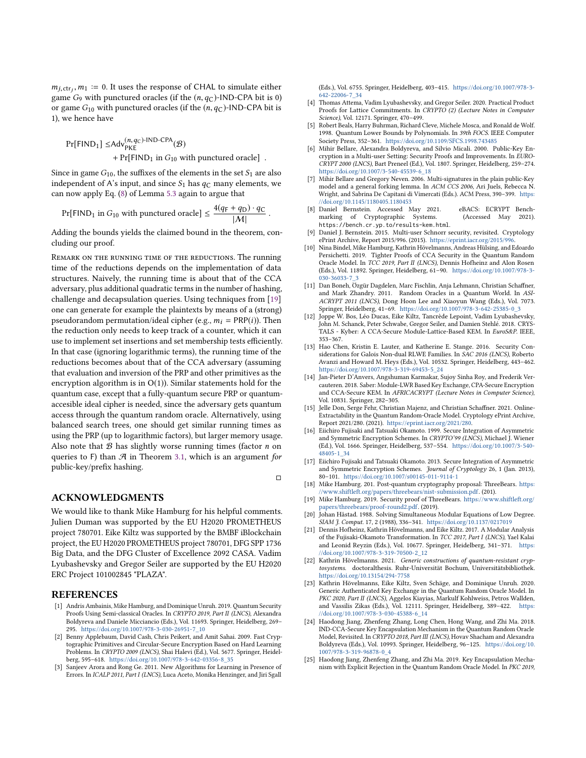$m_{j,\text{ctr}_j}, m_1 := 0$ . It uses the response of CHAL to simulate either<br>game  $G_2$  with punctured oracles (if the  $(n, q_0)$ -IND-CPA bit is 0) game  $G_9$  with punctured oracles (if the  $(n, q_C)$ -IND-CPA bit is 0) or game  $G_{10}$  with punctured oracles (if the  $(n, q<sub>C</sub>)$ -IND-CPA bit is 1), we hence have

$$
Pr[FIND1] \leq Adv_{PKE}^{(n, q_C)-IND-CPA}(\mathcal{B}) + Pr[FIND1 in G10 with punctured oracle].
$$

Since in game  $G_{10}$ , the suffixes of the elements in the set  $S_1$  are also independent of A's input, and since  $S_1$  has  $q_C$  many elements, we can now apply Eq. [\(8\)](#page-8-5) of Lemma [5.3](#page-8-4) again to argue that

$$
Pr[FIND_1 \text{ in } G_{10} \text{ with punctured oracle}] \le \frac{4(q_F + q_D) \cdot q_C}{|M|}.
$$

Adding the bounds yields the claimed bound in the theorem, concluding our proof.

Remark on the running time of the reductions. The running time of the reductions depends on the implementation of data structures. Naively, the running time is about that of the CCA adversary, plus additional quadratic terms in the number of hashing, challenge and decapsulation queries. Using techniques from [\[19\]](#page-12-10) one can generate for example the plaintexts by means of a (strong) pseudorandom permutation/ideal cipher (e.g.,  $m_i = PRP(i)$ ). Then the reduction only needs to keep track of a counter, which it can use to implement set insertions and set membership tests efficiently. In that case (ignoring logarithmic terms), the running time of the reductions becomes about that of the CCA adversary (assuming that evaluation and inversion of the PRP and other primitives as the encryption algorithm is in  $O(1)$ ). Similar statements hold for the quantum case, except that a fully-quantum secure PRP or quantumaccesible ideal cipher is needed, since the adversary gets quantum access through the quantum random oracle. Alternatively, using balanced search trees, one should get similar running times as using the PRP (up to logarithmic factors), but larger memory usage. Also note that  $B$  has slightly worse running times (factor  $n$  on queries to F) than  $A$  in Theorem [3.1,](#page-5-1) which is an argument for public-key/prefix hashing.

 $\Box$ 

#### ACKNOWLEDGMENTS

We would like to thank Mike Hamburg for his helpful comments. Julien Duman was supported by the EU H2020 PROMETHEUS project 780701. Eike Kiltz was supported by the BMBF iBlockchain project, the EU H2020 PROMETHEUS project 780701, DFG SPP 1736 Big Data, and the DFG Cluster of Excellence 2092 CASA. Vadim Lyubashevsky and Gregor Seiler are supported by the EU H2020 ERC Project 101002845 "PLAZA".

### **REFERENCES**

- <span id="page-12-20"></span>[1] Andris Ambainis, Mike Hamburg, and Dominique Unruh. 2019. Quantum Security Proofs Using Semi-classical Oracles. In CRYPTO 2019, Part II (LNCS), Alexandra Boldyreva and Daniele Micciancio (Eds.), Vol. 11693. Springer, Heidelberg, 269– 295. [https://doi.org/10.1007/978-3-030-26951-7\\_10](https://doi.org/10.1007/978-3-030-26951-7_10)
- <span id="page-12-14"></span>[2] Benny Applebaum, David Cash, Chris Peikert, and Amit Sahai. 2009. Fast Cryptographic Primitives and Circular-Secure Encryption Based on Hard Learning Problems. In CRYPTO 2009 (LNCS), Shai Halevi (Ed.), Vol. 5677. Springer, Heidelberg, 595–618. [https://doi.org/10.1007/978-3-642-03356-8\\_35](https://doi.org/10.1007/978-3-642-03356-8_35)
- <span id="page-12-15"></span>[3] Sanjeev Arora and Rong Ge. 2011. New Algorithms for Learning in Presence of Errors. In ICALP 2011, Part I (LNCS), Luca Aceto, Monika Henzinger, and Jiri Sgall

(Eds.), Vol. 6755. Springer, Heidelberg, 403–415. [https://doi.org/10.1007/978-3-](https://doi.org/10.1007/978-3-642-22006-7_34) [642-22006-7\\_34](https://doi.org/10.1007/978-3-642-22006-7_34)

- <span id="page-12-16"></span>[4] Thomas Attema, Vadim Lyubashevsky, and Gregor Seiler. 2020. Practical Product Proofs for Lattice Commitments. In CRYPTO (2) (Lecture Notes in Computer Science), Vol. 12171. Springer, 470–499.
- <span id="page-12-21"></span>[5] Robert Beals, Harry Buhrman, Richard Cleve, Michele Mosca, and Ronald de Wolf. 1998. Quantum Lower Bounds by Polynomials. In 39th FOCS. IEEE Computer Society Press, 352–361. <https://doi.org/10.1109/SFCS.1998.743485>
- <span id="page-12-1"></span>[6] Mihir Bellare, Alexandra Boldyreva, and Silvio Micali. 2000. Public-Key Encryption in a Multi-user Setting: Security Proofs and Improvements. In EURO-CRYPT 2000 (LNCS), Bart Preneel (Ed.), Vol. 1807. Springer, Heidelberg, 259–274. [https://doi.org/10.1007/3-540-45539-6\\_18](https://doi.org/10.1007/3-540-45539-6_18)
- <span id="page-12-8"></span>[7] Mihir Bellare and Gregory Neven. 2006. Multi-signatures in the plain public-Key model and a general forking lemma. In ACM CCS 2006, Ari Juels, Rebecca N. Wright, and Sabrina De Capitani di Vimercati (Eds.). ACM Press, 390–399. [https:](https://doi.org/10.1145/1180405.1180453) [//doi.org/10.1145/1180405.1180453](https://doi.org/10.1145/1180405.1180453)
- <span id="page-12-11"></span>[8] Daniel Bernstein. Accessed May 2021. eBACS: ECRYPT Benchmarking of Cryptographic Systems. (Accessed May 2021). https://bench.cr.yp.to/results-kem.html.
- <span id="page-12-9"></span>[9] Daniel J. Bernstein. 2015. Multi-user Schnorr security, revisited. Cryptology ePrint Archive, Report 2015/996. (2015). https://eprint.iacr.org/2015/99
- <span id="page-12-12"></span>[10] Nina Bindel, Mike Hamburg, Kathrin Hövelmanns, Andreas Hülsing, and Edoardo Persichetti. 2019. Tighter Proofs of CCA Security in the Quantum Random Oracle Model. In TCC 2019, Part II (LNCS), Dennis Hofheinz and Alon Rosen (Eds.), Vol. 11892. Springer, Heidelberg, 61–90. [https://doi.org/10.1007/978-3-](https://doi.org/10.1007/978-3-030-36033-7_3) [030-36033-7\\_3](https://doi.org/10.1007/978-3-030-36033-7_3)
- <span id="page-12-22"></span>[11] Dan Boneh, Özgür Dagdelen, Marc Fischlin, Anja Lehmann, Christian Schaffner, and Mark Zhandry. 2011. Random Oracles in a Quantum World. In ASI-ACRYPT 2011 (LNCS), Dong Hoon Lee and Xiaoyun Wang (Eds.), Vol. 7073. Springer, Heidelberg, 41–69. [https://doi.org/10.1007/978-3-642-25385-0\\_3](https://doi.org/10.1007/978-3-642-25385-0_3)
- <span id="page-12-5"></span>[12] Joppe W. Bos, Léo Ducas, Eike Kiltz, Tancrède Lepoint, Vadim Lyubashevsky, John M. Schanck, Peter Schwabe, Gregor Seiler, and Damien Stehlé. 2018. CRYS-TALS - Kyber: A CCA-Secure Module-Lattice-Based KEM. In EuroS&P. IEEE, 353–367.
- <span id="page-12-17"></span>[13] Hao Chen, Kristin E. Lauter, and Katherine E. Stange, 2016. Security Considerations for Galois Non-dual RLWE Families. In SAC 2016 (LNCS), Roberto Avanzi and Howard M. Heys (Eds.), Vol. 10532. Springer, Heidelberg, 443–462. [https://doi.org/10.1007/978-3-319-69453-5\\_24](https://doi.org/10.1007/978-3-319-69453-5_24)
- <span id="page-12-6"></span>[14] Jan-Pieter D'Anvers, Angshuman Karmakar, Sujoy Sinha Roy, and Frederik Vercauteren. 2018. Saber: Module-LWR Based Key Exchange, CPA-Secure Encryption and CCA-Secure KEM. In AFRICACRYPT (Lecture Notes in Computer Science), Vol. 10831. Springer, 282–305.
- <span id="page-12-18"></span>[15] Jelle Don, Serge Fehr, Christian Majenz, and Christian Schaffner. 2021. Online-Extractability in the Quantum Random-Oracle Model. Cryptology ePrint Archive, Report 2021/280. (2021). [https://eprint.iacr.org/2021/280.](https://eprint.iacr.org/2021/280)
- <span id="page-12-2"></span>[16] Eiichiro Fujisaki and Tatsuaki Okamoto. 1999. Secure Integration of Asymmetric and Symmetric Encryption Schemes. In CRYPTO'99 (LNCS), Michael J. Wiener (Ed.), Vol. 1666. Springer, Heidelberg, 537–554. [https://doi.org/10.1007/3-540-](https://doi.org/10.1007/3-540-48405-1_34) [48405-1\\_34](https://doi.org/10.1007/3-540-48405-1_34)
- <span id="page-12-3"></span>[17] Eiichiro Fujisaki and Tatsuaki Okamoto. 2013. Secure Integration of Asymmetric and Symmetric Encryption Schemes. Journal of Cryptology 26, 1 (Jan. 2013), 80–101. <https://doi.org/10.1007/s00145-011-9114-1>
- <span id="page-12-7"></span>[18] Mike Hamburg. 201. Post-quantum cryptography proposal: ThreeBears. [https:](https://www.shiftleft.org/papers/threebears/nist-submission.pdf) [//www.shiftleft.org/papers/threebears/nist-submission.pdf.](https://www.shiftleft.org/papers/threebears/nist-submission.pdf) (201).
- <span id="page-12-10"></span>[19] Mike Hamburg. 2019. Security proof of ThreeBears. [https://www.shiftleft.org/](https://www.shiftleft.org/papers/threebears/proof-round2.pdf) [papers/threebears/proof-round2.pdf.](https://www.shiftleft.org/papers/threebears/proof-round2.pdf) (2019).
- <span id="page-12-0"></span>[20] Johan Håstad. 1988. Solving Simultaneous Modular Equations of Low Degree. SIAM J. Comput. 17, 2 (1988), 336–341. <https://doi.org/10.1137/0217019>
- <span id="page-12-4"></span>[21] Dennis Hofheinz, Kathrin Hövelmanns, and Eike Kiltz. 2017. A Modular Analysis of the Fujisaki-Okamoto Transformation. In TCC 2017, Part I (LNCS), Yael Kalai and Leonid Reyzin (Eds.), Vol. 10677. Springer, Heidelberg, 341–371. [https:](https://doi.org/10.1007/978-3-319-70500-2_12) [//doi.org/10.1007/978-3-319-70500-2\\_12](https://doi.org/10.1007/978-3-319-70500-2_12)
- <span id="page-12-19"></span>[22] Kathrin Hövelmanns. 2021. Generic constructions of quantum-resistant cryptosystems. doctoralthesis. Ruhr-Universität Bochum, Universitätsbibliothek. <https://doi.org/10.13154/294-7758>
- <span id="page-12-13"></span>[23] Kathrin Hövelmanns, Eike Kiltz, Sven Schäge, and Dominique Unruh. 2020. Generic Authenticated Key Exchange in the Quantum Random Oracle Model. In PKC 2020, Part II (LNCS), Aggelos Kiayias, Markulf Kohlweiss, Petros Wallden, and Vassilis Zikas (Eds.), Vol. 12111. Springer, Heidelberg, 389-422. https: and Vassilis Zikas (Eds.), Vol. 12111. Springer, Heidelberg, 389-422. [//doi.org/10.1007/978-3-030-45388-6\\_14](https://doi.org/10.1007/978-3-030-45388-6_14)
- [24] Haodong Jiang, Zhenfeng Zhang, Long Chen, Hong Wang, and Zhi Ma. 2018. IND-CCA-Secure Key Encapsulation Mechanism in the Quantum Random Oracle Model, Revisited. In CRYPTO 2018, Part III (LNCS), Hovav Shacham and Alexandra Boldyreva (Eds.), Vol. 10993. Springer, Heidelberg, 96–125. [https://doi.org/10.](https://doi.org/10.1007/978-3-319-96878-0_4) [1007/978-3-319-96878-0\\_4](https://doi.org/10.1007/978-3-319-96878-0_4)
- [25] Haodong Jiang, Zhenfeng Zhang, and Zhi Ma. 2019. Key Encapsulation Mechanism with Explicit Rejection in the Quantum Random Oracle Model. In PKC 2019,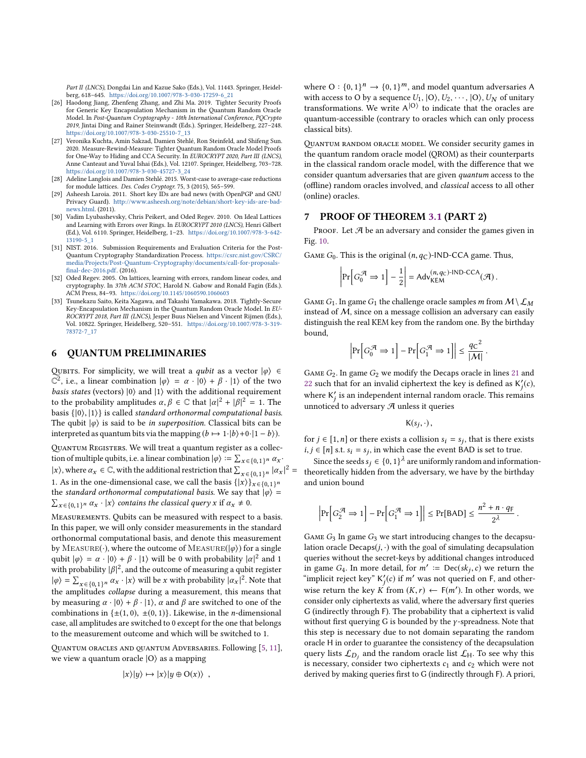Part II (LNCS), Dongdai Lin and Kazue Sako (Eds.), Vol. 11443. Springer, Heidelberg, 618–645. [https://doi.org/10.1007/978-3-030-17259-6\\_21](https://doi.org/10.1007/978-3-030-17259-6_21)

- <span id="page-13-1"></span>[26] Haodong Jiang, Zhenfeng Zhang, and Zhi Ma. 2019. Tighter Security Proofs for Generic Key Encapsulation Mechanism in the Quantum Random Oracle Model. In Post-Quantum Cryptography - 10th International Conference, PQCrypto 2019, Jintai Ding and Rainer Steinwandt (Eds.). Springer, Heidelberg, 227–248. [https://doi.org/10.1007/978-3-030-25510-7\\_13](https://doi.org/10.1007/978-3-030-25510-7_13)
- <span id="page-13-8"></span>[27] Veronika Kuchta, Amin Sakzad, Damien Stehlé, Ron Steinfeld, and Shifeng Sun. 2020. Measure-Rewind-Measure: Tighter Quantum Random Oracle Model Proofs for One-Way to Hiding and CCA Security. In EUROCRYPT 2020, Part III (LNCS), Anne Canteaut and Yuval Ishai (Eds.), Vol. 12107. Springer, Heidelberg, 703–728. [https://doi.org/10.1007/978-3-030-45727-3\\_24](https://doi.org/10.1007/978-3-030-45727-3_24)
- <span id="page-13-2"></span>[28] Adeline Langlois and Damien Stehlé. 2015. Worst-case to average-case reductions for module lattices. Des. Codes Cryptogr. 75, 3 (2015), 565–599.
- <span id="page-13-5"></span>[29] Asheesh Laroia. 2011. Short key IDs are bad news (with OpenPGP and GNU Privacy Guard). [http://www.asheesh.org/note/debian/short-key-ids-are-bad](http://www.asheesh.org/note/debian/short-key-ids-are-bad-news.html)[news.html.](http://www.asheesh.org/note/debian/short-key-ids-are-bad-news.html) (2011).
- <span id="page-13-3"></span>[30] Vadim Lyubashevsky, Chris Peikert, and Oded Regev. 2010. On Ideal Lattices and Learning with Errors over Rings. In EUROCRYPT 2010 (LNCS), Henri Gilbert (Ed.), Vol. 6110. Springer, Heidelberg, 1–23. [https://doi.org/10.1007/978-3-642-](https://doi.org/10.1007/978-3-642-13190-5_1) [13190-5\\_1](https://doi.org/10.1007/978-3-642-13190-5_1)
- <span id="page-13-0"></span>[31] NIST. 2016. Submission Requirements and Evaluation Criteria for the Post-Quantum Cryptography Standardization Process. [https://csrc.nist.gov/CSRC/](https://csrc.nist.gov/CSRC/media/Projects/Post-Quantum-Cryptography/documents/call-for-proposals-final-dec-2016.pdf) [media/Projects/Post-Quantum-Cryptography/documents/call-for-proposals](https://csrc.nist.gov/CSRC/media/Projects/Post-Quantum-Cryptography/documents/call-for-proposals-final-dec-2016.pdf)[final-dec-2016.pdf.](https://csrc.nist.gov/CSRC/media/Projects/Post-Quantum-Cryptography/documents/call-for-proposals-final-dec-2016.pdf) (2016).
- <span id="page-13-4"></span>[32] Oded Regev. 2005. On lattices, learning with errors, random linear codes, and cryptography. In 37th ACM STOC, Harold N. Gabow and Ronald Fagin (Eds.). ACM Press, 84–93. <https://doi.org/10.1145/1060590.1060603>
- <span id="page-13-9"></span>[33] Tsunekazu Saito, Keita Xagawa, and Takashi Yamakawa. 2018. Tightly-Secure Key-Encapsulation Mechanism in the Quantum Random Oracle Model. In EU-ROCRYPT 2018, Part III (LNCS), Jesper Buus Nielsen and Vincent Rijmen (Eds.), Vol. 10822. Springer, Heidelberg, 520–551. [https://doi.org/10.1007/978-3-319-](https://doi.org/10.1007/978-3-319-78372-7_17) [78372-7\\_17](https://doi.org/10.1007/978-3-319-78372-7_17)

### <span id="page-13-7"></span>6 QUANTUM PRELIMINARIES

QUBITS. For simplicity, we will treat a *qubit* as a vector  $|\varphi\rangle \in$  $\widetilde{C}^2$ , i.e., a linear combination  $|\varphi\rangle = \alpha \cdot |0\rangle + \beta \cdot |1\rangle$  of the two here the set of the two here the set of the set of the set of the set of the set of the set of the set of the set of the set of the set of the s *basis states* (vectors)  $|0\rangle$  and  $|1\rangle$  with the additional requirement to the probability amplitudes  $\alpha, \beta \in \mathbb{C}$  that  $|\alpha|^2 + |\beta|^2 = 1$ . The basis  $\{|0\rangle, |1\rangle\}$  is called standard orthonormal computational basis. The qubit  $|\varphi\rangle$  is said to be *in superposition*. Classical bits can be interpreted as quantum bits via the mapping  $(b \mapsto 1·|b\rangle+0·|1-b\rangle)$ .

Quantum Registers. We will treat a quantum register as a collection of multiple qubits, i.e. a linear combination  $|\varphi\rangle := \sum_{x \in \{0,1\}^n} \alpha_x$ . |x), where  $\alpha_x \in \mathbb{C}$ , with the additional restriction that  $\sum_{x \in \{0,1\}^n} |\alpha_x|^2 =$  $|x\rangle$ , where  $\alpha_x \in \mathbb{C}$ , with the additional restriction that  $\sum_{x \in \{0,1\}^n} |\alpha_x|$ <br>1. As in the one-dimensional case, we call the basis  $\{|x\rangle\}_{x \in \{0,1\}^n}$ <br>the *standard orthonormal computational basis*. We say t the standard orthonormal computational basis. We say that  $|\varphi\rangle = \sum_{x \in \{0,1\}^n} \alpha_x \cdot |x\rangle$  contains the classical query x if  $\alpha_x \neq 0$ .

Measurements. Qubits can be measured with respect to a basis. In this paper, we will only consider measurements in the standard orthonormal computational basis, and denote this measurement by MEASURE( $\cdot$ ), where the outcome of MEASURE( $|\varphi\rangle$ ) for a single qubit  $|\varphi\rangle = \alpha \cdot |0\rangle + \beta \cdot |1\rangle$  will be 0 with probability  $|\alpha|^2$  and 1 with probability  $|\beta|^2$ , and the outcome of measuring a qubit register  $|\alpha| = \sum_{\alpha} |\alpha|$  will be x with probability  $|\alpha|^2$ . Note that  $|\varphi\rangle = \sum_{x \in \{0,1\}^n} \alpha_x \cdot |x\rangle$  will be x with probability  $|\alpha_x|^2$ . Note that the amplitudes collapse during a measurement, this means that by measuring  $\alpha \cdot |0\rangle + \beta \cdot |1\rangle$ ,  $\alpha$  and  $\beta$  are switched to one of the combinations in  $\{\pm(1, 0), \pm(0, 1)\}\$ . Likewise, in the *n*-dimensional case, all amplitudes are switched to 0 except for the one that belongs to the measurement outcome and which will be switched to 1.

QUANTUM ORACLES AND QUANTUM ADVERSARIES. Following [\[5,](#page-12-21) [11\]](#page-12-22), we view a quantum oracle  $|O\rangle$  as a mapping

$$
|x\rangle|y\rangle \mapsto |x\rangle|y \oplus O(x)\rangle ,
$$

where  $O: \{0, 1\}^n \to \{0, 1\}^m$ , and model quantum adversaries A<br>with access to O by a sequence  $U_1, \{O\}$ ,  $U_2, \ldots, \{O\}$ ,  $U_N$  of unitary with access to O by a sequence  $U_1$ ,  $|0\rangle$ ,  $U_2$ ,  $\cdots$ ,  $|0\rangle$ ,  $U_N$  of unitary transformations. We write  $A^{(0)}$  to indicate that the oracles are quantum-accessible (contrary to oracles which can only process classical bits).

Quantum random oracle model. We consider security games in the quantum random oracle model (QROM) as their counterparts in the classical random oracle model, with the difference that we consider quantum adversaries that are given quantum access to the (offline) random oracles involved, and classical access to all other (online) oracles.

#### <span id="page-13-6"></span>7 PROOF OF THEOREM [3.1](#page-5-1) (PART 2)

PROOF. Let  $A$  be an adversary and consider the games given in Fig. [10.](#page-14-0)

GAME  $G_0$ . This is the original  $(n, q<sub>C</sub>)$ -IND-CCA game. Thus,

$$
\left|\Pr\left[G_0^{\mathcal{A}} \Rightarrow 1\right] - \frac{1}{2}\right| = \mathsf{Adv}_{\mathsf{KEM}}^{(n,q_{\mathbb{C}})\text{-IND-CCA}}(\mathcal{A}).
$$

GAME  $G_1$ . In game  $G_1$  the challenge oracle samples m from  $M \setminus L_M$ instead of  $M$ , since on a message collision an adversary can easily distinguish the real KEM key from the random one. By the birthday bound,

$$
\left|\Pr\Bigl[G_0^{\mathcal{A}} \Rightarrow 1\Bigr] - \Pr\Bigl[G_1^{\mathcal{A}} \Rightarrow 1\Bigr]\right| \leq \frac{q \texttt{C}^2}{|\mathcal{M}|}
$$

GAME  $G_2$ . In game  $G_2$  we modify the Decaps oracle in lines [21](#page-14-1) and [22](#page-14-2) such that for an invalid ciphertext the key is defined as  $K'_j(c)$ , where K' is an independent internal random oracle. This remains unnoticed to adversary  ${\mathcal{A}}$  unless it queries

$$
\mathsf{K}(s_j,\cdot)\,,
$$

for  $j \in [1, n]$  or there exists a collision  $s_i = s_j$ , that is there exists  $i, i \in [n]$  at  $s_i = s_j$ , in which case the exert BAD is set to true. *i*, *j* ∈ [*n*] s.t.  $s_i = s_j$ , in which case the event BAD is set to true.<br>Since the example  $\leq$  [0, 1)  $\frac{1}{2}$  are uniformly used on and information

Since the seeds  $s_j \in \{0,1\}^{\lambda}$  are uniformly random and information-<br>poretically hidden from the adversary, we have by the birthday theoretically hidden from the adversary, we have by the birthday and union bound

$$
\left|\Pr\left[G_2^{\mathcal{A}} \Rightarrow 1\right] - \Pr\left[G_1^{\mathcal{A}} \Rightarrow 1\right]\right| \le \Pr[\mathsf{BAD}] \le \frac{n^2 + n \cdot q_\mathsf{F}}{2^{\lambda}}.
$$

GAME  $G_3$  In game  $G_3$  we start introducing changes to the decapsulation oracle  $Decaps(j, \cdot)$  with the goal of simulating decapsulation queries without the secret-keys by additional changes introduced in game G<sub>4</sub>. In more detail, for  $m' := \text{Dec}(sk_j, c)$  we return the "implicit reject key"  $k'(c)$  if  $m'$  was not quaried on E and other. "implicit reject key"  $K'_j(c)$  if m' was not queried on F, and other-<br>wise notion the lies:  $K$  from  $(K, r) \leftarrow \Gamma(m')$ . In other words, we wise return the key K from  $(K,r) \leftarrow F(m')$ . In other words, we consider only cinhertaxts as valid where the adversary first queries consider only ciphertexts as valid, where the adversary first queries G (indirectly through F). The probability that a ciphertext is valid without first querying G is bounded by the  $\gamma$ -spreadness. Note that this step is necessary due to not domain separating the random oracle H in order to guarantee the consistency of the decapsulation query lists  $\mathcal{L}_{D_j}$  and the random oracle list  $\mathcal{L}_{H}$ . To see why this is necessary, consider two ciphertexts  $c_1$  and  $c_2$  which were not derived by making queries first to G (indirectly through F). A priori,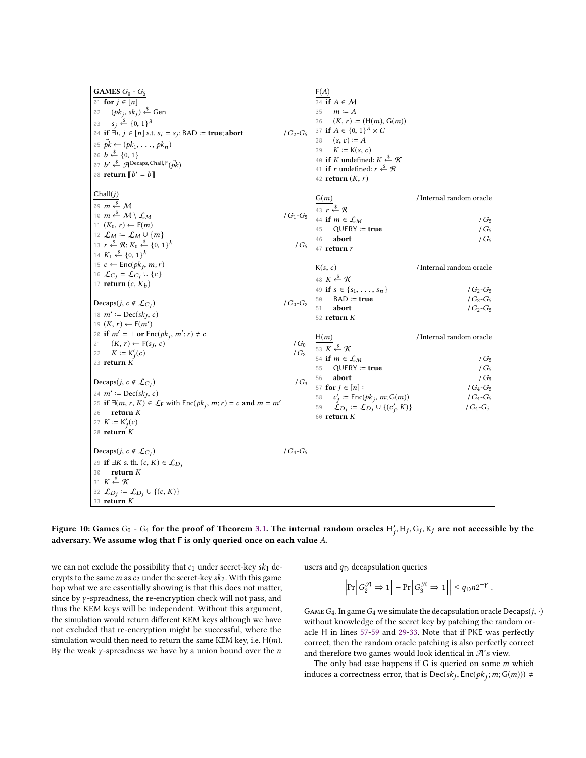<span id="page-14-0"></span>

| F(A)<br><b>GAMES</b> $G_0$ - $G_5$                                                                                                                              |                          |
|-----------------------------------------------------------------------------------------------------------------------------------------------------------------|--------------------------|
| 01 for $j \in [n]$<br>34 if $A \in \mathcal{M}$                                                                                                                 |                          |
| $(pk_i, sk_j) \stackrel{\$}{\leftarrow}$ Gen<br>02<br>35<br>$m \coloneq A$                                                                                      |                          |
| 36<br>$(K, r) := (H(m), G(m))$<br>$s_i \xleftarrow{\$} \{0,1\}^{\lambda}$<br>03                                                                                 |                          |
| 37 if $A \in \{0, 1\}^{\lambda} \times C$<br>04 if $\exists i, j \in [n]$ s.t. $s_i = s_j$ ; BAD := true; abort<br>$/G_2-G_5$                                   |                          |
| $(s, c) \coloneq A$<br>38<br>05 $pk \leftarrow (pk_1, \ldots, pk_n)$                                                                                            |                          |
| $K \coloneqq K(s, c)$<br>39<br>06 $b \stackrel{\$}{\leftarrow} \{0, 1\}$                                                                                        |                          |
| 40 if K undefined: $K \xleftarrow{\$} \mathcal{K}$<br>07 $b' \stackrel{\$}{\leftarrow} \mathcal{A}$ Decaps, Chall, $F(\vec{pk})$                                |                          |
| 41 if r undefined: $r \stackrel{\$}{\leftarrow} \mathcal{R}$                                                                                                    |                          |
| 08 return $[[b' = b]]$<br>42 return $(K, r)$                                                                                                                    |                          |
| Chall(j)                                                                                                                                                        |                          |
| G(m)                                                                                                                                                            | / Internal random oracle |
| 09 $m \stackrel{\$}{\leftarrow} M$<br>$\frac{1}{43 r}$ $\stackrel{\circ}{\leftarrow}$ $\stackrel{\circ}{\mathcal{R}}$                                           |                          |
| 10 $m \stackrel{\$}{\leftarrow} M \setminus \mathcal{L}_M$<br>/ $G_1$ - $G_5$<br>44 if $m \in \mathcal{L}_M$                                                    | $/G_5$                   |
| 11 $(K_0, r) \leftarrow F(m)$<br>$QUERY := true$<br>45                                                                                                          | $/G_5$                   |
| 12 $\mathcal{L}_M := \mathcal{L}_M \cup \{m\}$<br>46<br>abort                                                                                                   | $/G_5$                   |
| 13 $r \stackrel{\$}{\leftarrow} \mathcal{R}; K_0 \stackrel{\$}{\leftarrow} \{0, 1\}^k$<br>$/G_5$<br>$47$ return $r$                                             |                          |
| 14 $K_1 \xleftarrow{\$} \{0, 1\}^k$                                                                                                                             |                          |
| 15 $c \leftarrow \text{Enc}(pk_j, m; r)$<br>K(s, c)                                                                                                             | / Internal random oracle |
| 16 $\mathcal{L}_{C_j} = \mathcal{L}_{C_j} \cup \{c\}$<br>48 $K \xleftarrow{\$} \mathcal{K}$                                                                     |                          |
| 17 return $(c, K_b)$<br>49 if $s \in \{s_1, \ldots, s_n\}$                                                                                                      | $/G_2-G_5$               |
| $BAD := true$<br>50                                                                                                                                             | $/G_2-G_5$               |
| $/G_0-G_2$<br>Decaps( <i>j</i> , $c \notin \mathcal{L}_{C_j}$ )<br>abort<br>51                                                                                  | $/G_2-G_5$               |
| 18 $m' := \text{Dec}(sk_j, c)$<br>52 return $K$                                                                                                                 |                          |
| 19 $(K, r) \leftarrow F(m')$                                                                                                                                    |                          |
| 20 if $m' = \perp$ or $Enc(pk_i, m'; r) \neq c$<br>H(m)                                                                                                         | / Internal random oracle |
| $(K, r) \leftarrow F(s_i, c)$<br>/ $G_0$<br>21<br>53 $K \xleftarrow{\$} \mathcal{K}$                                                                            |                          |
| $K \coloneqq K_i'(c)$<br>$/G_2$<br>22<br>54 if $m \in \mathcal{L}_M$                                                                                            | $/G_5$                   |
| 23 $return K$<br>$QUERY := true$<br>55                                                                                                                          | $/G_5$                   |
| 56<br>abort                                                                                                                                                     | $/G_5$                   |
| $/G_3$<br>Decaps( <i>j</i> , $c \notin \mathcal{L}_{C_j}$ )<br>57 for $j \in [n]$ :                                                                             | $/G_4 - G_5$             |
| 24 $m' := \text{Dec}(sk_i, c)$<br>$c'_i$ := Enc( $pk_j$ , m; G(m))<br>58                                                                                        | / $G_4$ - $G_5$          |
| 25 if $\exists (m, r, K) \in \mathcal{L}_F$ with $Enc(pk_i, m; r) = c$ and $m = m'$<br>$\mathcal{L}_{D_j} \coloneqq \mathcal{L}_{D_j} \cup \{(c'_j, K)\}$<br>59 | $/G_4 - G_5$             |
| return $K$<br>26<br>60 return $K$                                                                                                                               |                          |
| 27 $K := K'_i(c)$                                                                                                                                               |                          |
| 28 return $K$                                                                                                                                                   |                          |
|                                                                                                                                                                 |                          |
| $/G_4-G_5$<br>Decaps( <i>j</i> , $c \notin \mathcal{L}_{C_j}$ )                                                                                                 |                          |
| 29 if $\exists K$ s. th. $(c, K) \in \mathcal{L}_{D_i}$                                                                                                         |                          |
| return $K$<br>30                                                                                                                                                |                          |
| 31 $K \stackrel{\$}{\leftarrow} \mathcal{K}$                                                                                                                    |                          |
| 32 $\mathcal{L}_{D_j} := \mathcal{L}_{D_j} \cup \{(c, K)\}\$                                                                                                    |                          |
| $33$ return $K$                                                                                                                                                 |                          |

#### <span id="page-14-8"></span><span id="page-14-7"></span><span id="page-14-6"></span><span id="page-14-5"></span><span id="page-14-2"></span><span id="page-14-1"></span>Figure 10: Games  $G_0$  -  $G_4$  for the proof of Theorem [3.1.](#page-5-1) The internal random oracles  $H'_j$ ,  $H_j$ ,  $G_j$ ,  $K_j$  are not accessible by the j adversary. We assume wlog that <sup>F</sup> is only queried once on each value A.

we can not exclude the possibility that  $c_1$  under secret-key  $sk_1$  decrypts to the same  $m$  as  $c_2$  under the secret-key  $sk_2$ . With this game hop what we are essentially showing is that this does not matter, since by γ -spreadness, the re-encryption check will not pass, and thus the KEM keys will be independent. Without this argument, the simulation would return different KEM keys although we have not excluded that re-encryption might be successful, where the simulation would then need to return the same KEM key, i.e.  $H(m)$ . By the weak  $\gamma$ -spreadness we have by a union bound over the  $n$ 

<span id="page-14-4"></span><span id="page-14-3"></span>users and  $q_D$  decapsulation queries

$$
\left|\Pr\left[G_2^{\mathcal{A}} \Rightarrow 1\right] - \Pr\left[G_3^{\mathcal{A}} \Rightarrow 1\right]\right| \le q_{\mathsf{D}} n 2^{-\gamma}.
$$

GAME  $G_4$ . In game  $G_4$  we simulate the decapsulation oracle Decaps( $j, \cdot$ ) without knowledge of the secret key by patching the random oracle H in lines [57-](#page-14-3)[59](#page-14-4) and [29-](#page-14-5)[33.](#page-14-6) Note that if PKE was perfectly correct, then the random oracle patching is also perfectly correct and therefore two games would look identical in  $\mathcal{A}$  's view.

The only bad case happens if  $G$  is queried on some  $m$  which induces a correctness error, that is  $\text{Dec}(sk_j, \text{Enc}(pk_j; m; G(m))) \neq$